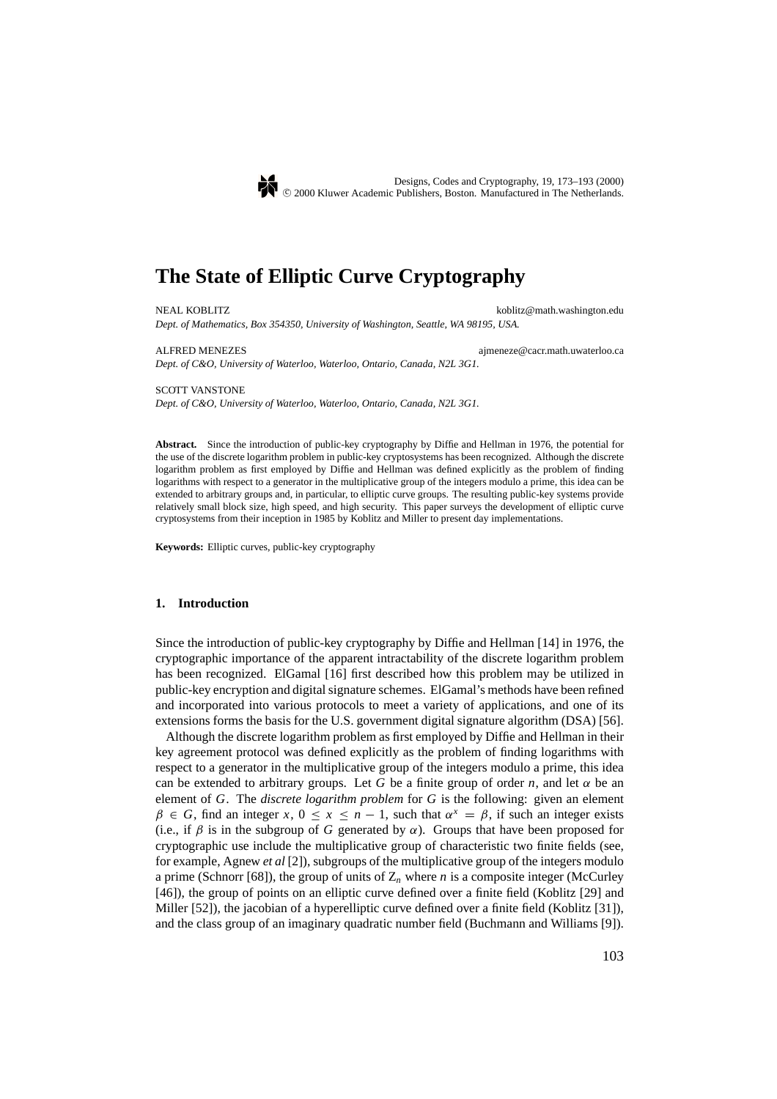

# **The State of Elliptic Curve Cryptography**

NEAL KOBLITZ **koblitz@math.washington.edu** *Dept. of Mathematics, Box 354350, University of Washington, Seattle, WA 98195, USA.*

ALFRED MENEZES ajmeneze@cacr.math.uwaterloo.ca

#### SCOTT VANSTONE

*Dept. of C&O, University of Waterloo, Waterloo, Ontario, Canada, N2L 3G1.*

*Dept. of C&O, University of Waterloo, Waterloo, Ontario, Canada, N2L 3G1.*

**Abstract.** Since the introduction of public-key cryptography by Diffie and Hellman in 1976, the potential for the use of the discrete logarithm problem in public-key cryptosystems has been recognized. Although the discrete logarithm problem as first employed by Diffie and Hellman was defined explicitly as the problem of finding logarithms with respect to a generator in the multiplicative group of the integers modulo a prime, this idea can be extended to arbitrary groups and, in particular, to elliptic curve groups. The resulting public-key systems provide relatively small block size, high speed, and high security. This paper surveys the development of elliptic curve cryptosystems from their inception in 1985 by Koblitz and Miller to present day implementations.

**Keywords:** Elliptic curves, public-key cryptography

#### **1. Introduction**

Since the introduction of public-key cryptography by Diffie and Hellman [14] in 1976, the cryptographic importance of the apparent intractability of the discrete logarithm problem has been recognized. ElGamal [16] first described how this problem may be utilized in public-key encryption and digital signature schemes. ElGamal's methods have been refined and incorporated into various protocols to meet a variety of applications, and one of its extensions forms the basis for the U.S. government digital signature algorithm (DSA) [56].

Although the discrete logarithm problem as first employed by Diffie and Hellman in their key agreement protocol was defined explicitly as the problem of finding logarithms with respect to a generator in the multiplicative group of the integers modulo a prime, this idea can be extended to arbitrary groups. Let G be a finite group of order *n*, and let  $\alpha$  be an element of *G*. The *discrete logarithm problem* for *G* is the following: given an element  $\beta \in G$ , find an integer *x*,  $0 \le x \le n - 1$ , such that  $\alpha^x = \beta$ , if such an integer exists (i.e., if  $\beta$  is in the subgroup of *G* generated by  $\alpha$ ). Groups that have been proposed for cryptographic use include the multiplicative group of characteristic two finite fields (see, for example, Agnew *et al* [2]), subgroups of the multiplicative group of the integers modulo a prime (Schnorr [68]), the group of units of  $Z_n$  where *n* is a composite integer (McCurley [46]), the group of points on an elliptic curve defined over a finite field (Koblitz [29] and Miller [52]), the jacobian of a hyperelliptic curve defined over a finite field (Koblitz [31]), and the class group of an imaginary quadratic number field (Buchmann and Williams [9]).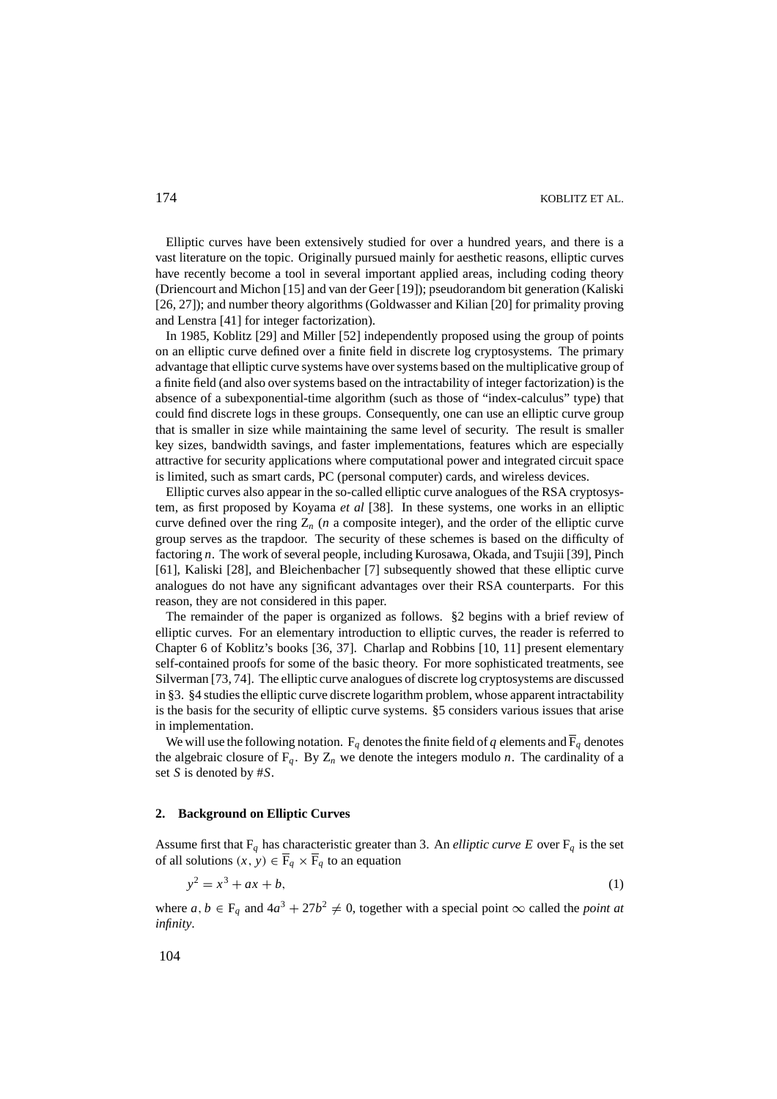Elliptic curves have been extensively studied for over a hundred years, and there is a vast literature on the topic. Originally pursued mainly for aesthetic reasons, elliptic curves have recently become a tool in several important applied areas, including coding theory (Driencourt and Michon [15] and van der Geer [19]); pseudorandom bit generation (Kaliski [26, 27]); and number theory algorithms (Goldwasser and Kilian [20] for primality proving and Lenstra [41] for integer factorization).

In 1985, Koblitz [29] and Miller [52] independently proposed using the group of points on an elliptic curve defined over a finite field in discrete log cryptosystems. The primary advantage that elliptic curve systems have over systems based on the multiplicative group of a finite field (and also over systems based on the intractability of integer factorization) is the absence of a subexponential-time algorithm (such as those of "index-calculus" type) that could find discrete logs in these groups. Consequently, one can use an elliptic curve group that is smaller in size while maintaining the same level of security. The result is smaller key sizes, bandwidth savings, and faster implementations, features which are especially attractive for security applications where computational power and integrated circuit space is limited, such as smart cards, PC (personal computer) cards, and wireless devices.

Elliptic curves also appear in the so-called elliptic curve analogues of the RSA cryptosystem, as first proposed by Koyama *et al* [38]. In these systems, one works in an elliptic curve defined over the ring  $Z_n$  (*n* a composite integer), and the order of the elliptic curve group serves as the trapdoor. The security of these schemes is based on the difficulty of factoring *n*. The work of several people, including Kurosawa, Okada, and Tsujii [39], Pinch [61], Kaliski [28], and Bleichenbacher [7] subsequently showed that these elliptic curve analogues do not have any significant advantages over their RSA counterparts. For this reason, they are not considered in this paper.

The remainder of the paper is organized as follows. §2 begins with a brief review of elliptic curves. For an elementary introduction to elliptic curves, the reader is referred to Chapter 6 of Koblitz's books [36, 37]. Charlap and Robbins [10, 11] present elementary self-contained proofs for some of the basic theory. For more sophisticated treatments, see Silverman [73, 74]. The elliptic curve analogues of discrete log cryptosystems are discussed in §3. §4 studies the elliptic curve discrete logarithm problem, whose apparent intractability is the basis for the security of elliptic curve systems. §5 considers various issues that arise in implementation.

We will use the following notation.  $F_q$  denotes the finite field of q elements and  $\overline{F}_q$  denotes the algebraic closure of  $F_q$ . By  $Z_n$  we denote the integers modulo *n*. The cardinality of a set *S* is denoted by #*S*.

#### **2. Background on Elliptic Curves**

Assume first that  $F_q$  has characteristic greater than 3. An *elliptic curve E* over  $F_q$  is the set of all solutions  $(x, y) \in \overline{F}_q \times \overline{F}_q$  to an equation

$$
y^2 = x^3 + ax + b,\tag{1}
$$

where  $a, b \in F_a$  and  $4a^3 + 27b^2 \neq 0$ , together with a special point  $\infty$  called the *point at infinity*.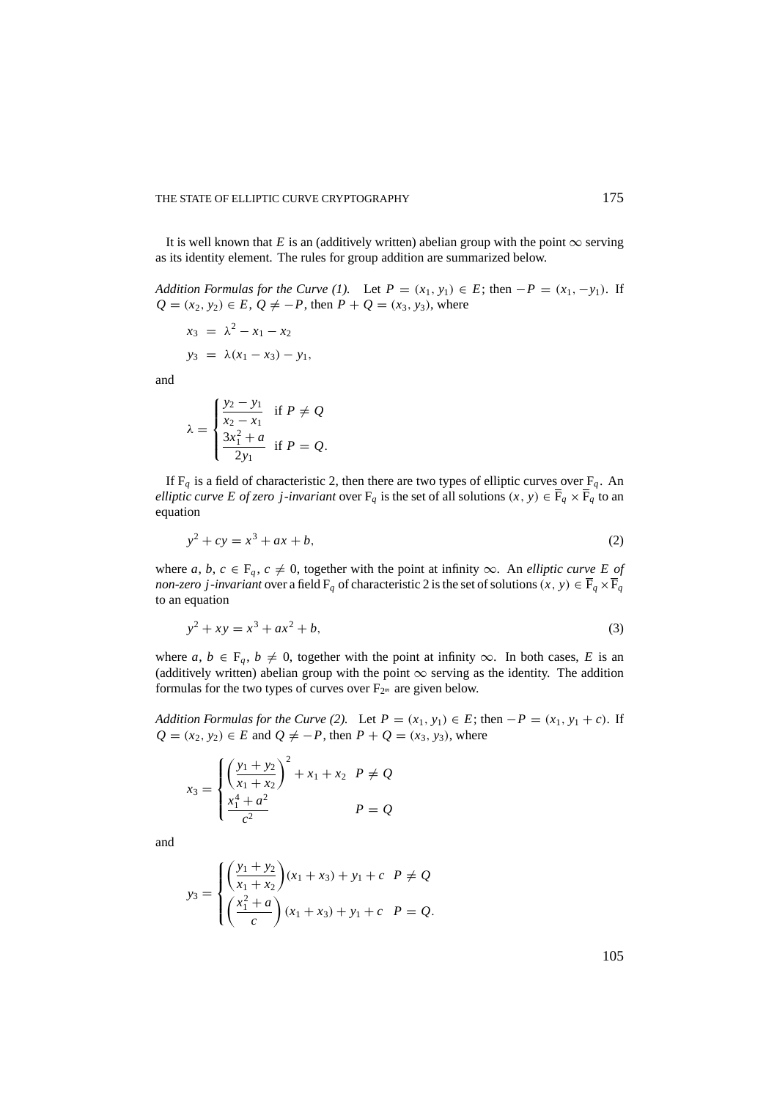It is well known that *E* is an (additively written) abelian group with the point  $\infty$  serving as its identity element. The rules for group addition are summarized below.

*Addition Formulas for the Curve (1).* Let  $P = (x_1, y_1) \in E$ ; then  $-P = (x_1, -y_1)$ . If *Q* = (*x*<sub>2</sub>, *y*<sub>2</sub>) ∈ *E*, *Q*  $\neq$  −*P*, then *P* + *Q* = (*x*<sub>3</sub>, *y*<sub>3</sub>), where

$$
x_3 = \lambda^2 - x_1 - x_2
$$
  

$$
y_3 = \lambda(x_1 - x_3) - y_1,
$$

and

$$
\lambda = \begin{cases} \frac{y_2 - y_1}{x_2 - x_1} & \text{if } P \neq Q \\ \frac{3x_1^2 + a}{2y_1} & \text{if } P = Q. \end{cases}
$$

If  $F_q$  is a field of characteristic 2, then there are two types of elliptic curves over  $F_q$ . An *elliptic curve E of zero j-invariant* over  $F_q$  is the set of all solutions  $(x, y) \in \overline{F}_q \times \overline{F}_q$  to an equation

$$
y^2 + cy = x^3 + ax + b,\tag{2}
$$

where *a*, *b*,  $c \in F_q$ ,  $c \neq 0$ , together with the point at infinity  $\infty$ . An *elliptic curve E of non-zero j-invariant* over a field  $F_q$  of characteristic 2 is the set of solutions  $(x, y) \in \overline{F}_q \times \overline{F}_q$ to an equation

$$
y^2 + xy = x^3 + ax^2 + b,\tag{3}
$$

where *a*,  $b \in F_q$ ,  $b \neq 0$ , together with the point at infinity  $\infty$ . In both cases, *E* is an (additively written) abelian group with the point  $\infty$  serving as the identity. The addition formulas for the two types of curves over  $F_{2<sup>m</sup>}$  are given below.

*Addition Formulas for the Curve (2).* Let  $P = (x_1, y_1) \in E$ ; then  $-P = (x_1, y_1 + c)$ . If *Q* = (*x*<sub>2</sub>, *y*<sub>2</sub>) ∈ *E* and *Q*  $\neq$  −*P*, then *P* + *Q* = (*x*<sub>3</sub>, *y*<sub>3</sub>), where

$$
x_3 = \begin{cases} \left(\frac{y_1 + y_2}{x_1 + x_2}\right)^2 + x_1 + x_2 & P \neq Q \\ \frac{x_1^4 + a^2}{c^2} & P = Q \end{cases}
$$

and

$$
y_3 = \begin{cases} \left(\frac{y_1 + y_2}{x_1 + x_2}\right)(x_1 + x_3) + y_1 + c & P \neq Q \\ \left(\frac{x_1^2 + a}{c}\right)(x_1 + x_3) + y_1 + c & P = Q. \end{cases}
$$

105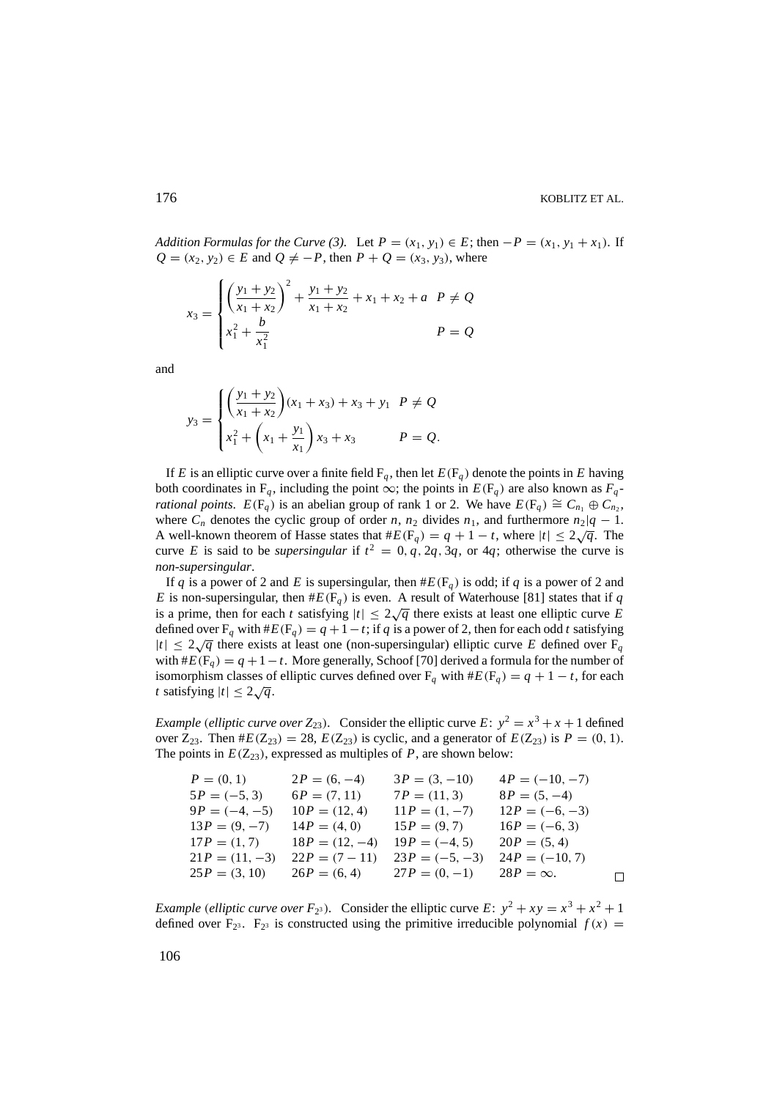*Addition Formulas for the Curve* (3). Let  $P = (x_1, y_1) \in E$ ; then  $-P = (x_1, y_1 + x_1)$ . If *Q* = (*x*<sub>2</sub>, *y*<sub>2</sub>) ∈ *E* and *Q*  $\neq$  −*P*, then *P* + *Q* = (*x*<sub>3</sub>, *y*<sub>3</sub>), where

$$
x_3 = \begin{cases} \left(\frac{y_1 + y_2}{x_1 + x_2}\right)^2 + \frac{y_1 + y_2}{x_1 + x_2} + x_1 + x_2 + a & P \neq Q \\ x_1^2 + \frac{b}{x_1^2} & P = Q \end{cases}
$$

and

$$
y_3 = \begin{cases} \left(\frac{y_1 + y_2}{x_1 + x_2}\right)(x_1 + x_3) + x_3 + y_1 & P \neq Q \\ x_1^2 + \left(x_1 + \frac{y_1}{x_1}\right)x_3 + x_3 & P = Q. \end{cases}
$$

If *E* is an elliptic curve over a finite field  $F_q$ , then let  $E(F_q)$  denote the points in *E* having both coordinates in  $F_q$ , including the point  $\infty$ ; the points in  $E(F_q)$  are also known as  $F_q$ *rational points.*  $E(F_q)$  is an abelian group of rank 1 or 2. We have  $E(F_q) \cong C_{n_1} \oplus C_{n_2}$ , where  $C_n$  denotes the cyclic group of order *n*,  $n_2$  divides  $n_1$ , and furthermore  $n_2|q-1$ . A well-known theorem of Hasse states that  $#E(F_q) = q + 1 - t$ , where  $|t| \leq 2\sqrt{q}$ . The curve *E* is said to be *supersingular* if  $t^2 = 0$ , q, 2q, 3q, or 4q; otherwise the curve is *non-supersingular*.

If *q* is a power of 2 and *E* is supersingular, then  $#E(F_q)$  is odd; if *q* is a power of 2 and *E* is non-supersingular, then  $#E(F_q)$  is even. A result of Waterhouse [81] states that if *q* is a prime, then for each *t* satisfying  $|t| \leq 2\sqrt{q}$  there exists at least one elliptic curve *E* defined over  $F_q$  with  $#E(F_q) = q + 1 - t$ ; if *q* is a power of 2, then for each odd *t* satisfying  $|t| \leq 2\sqrt{q}$  there exists at least one (non-supersingular) elliptic curve *E* defined over F<sub>q</sub> with  $#E(F_q) = q + 1 - t$ . More generally, Schoof [70] derived a formula for the number of isomorphism classes of elliptic curves defined over  $F_q$  with  $#E(F_q) = q + 1 - t$ , for each *t* satisfying  $|t| \leq 2\sqrt{q}$ .

*Example* (*elliptic curve over*  $Z_{23}$ *).* Consider the elliptic curve  $E: y^2 = x^3 + x + 1$  defined over  $Z_{23}$ . Then  $\#E(Z_{23}) = 28$ ,  $E(Z_{23})$  is cyclic, and a generator of  $E(Z_{23})$  is  $P = (0, 1)$ . The points in  $E(Z_{23})$ , expressed as multiples of *P*, are shown below:

| $P = (0, 1)$     | $2P = (6, -4)$   | $3P = (3, -10)$  | $4P = (-10, -7)$ |  |
|------------------|------------------|------------------|------------------|--|
| $5P = (-5, 3)$   | $6P = (7, 11)$   | $7P = (11, 3)$   | $8P = (5, -4)$   |  |
| $9P = (-4, -5)$  | $10P = (12, 4)$  | $11P = (1, -7)$  | $12P = (-6, -3)$ |  |
| $13P = (9, -7)$  | $14P = (4, 0)$   | $15P = (9, 7)$   | $16P = (-6, 3)$  |  |
| $17P = (1, 7)$   | $18P = (12, -4)$ | $19P = (-4, 5)$  | $20P = (5, 4)$   |  |
| $21P = (11, -3)$ | $22P = (7 - 11)$ | $23P = (-5, -3)$ | $24P = (-10, 7)$ |  |
| $25P = (3, 10)$  | $26P = (6, 4)$   | $27P = (0, -1)$  | $28P = \infty$ . |  |

*Example* (*elliptic curve over F*<sub>23</sub>). Consider the elliptic curve  $E: y^2 + xy = x^3 + x^2 + 1$ defined over  $F_{2^3}$ .  $F_{2^3}$  is constructed using the primitive irreducible polynomial  $f(x)$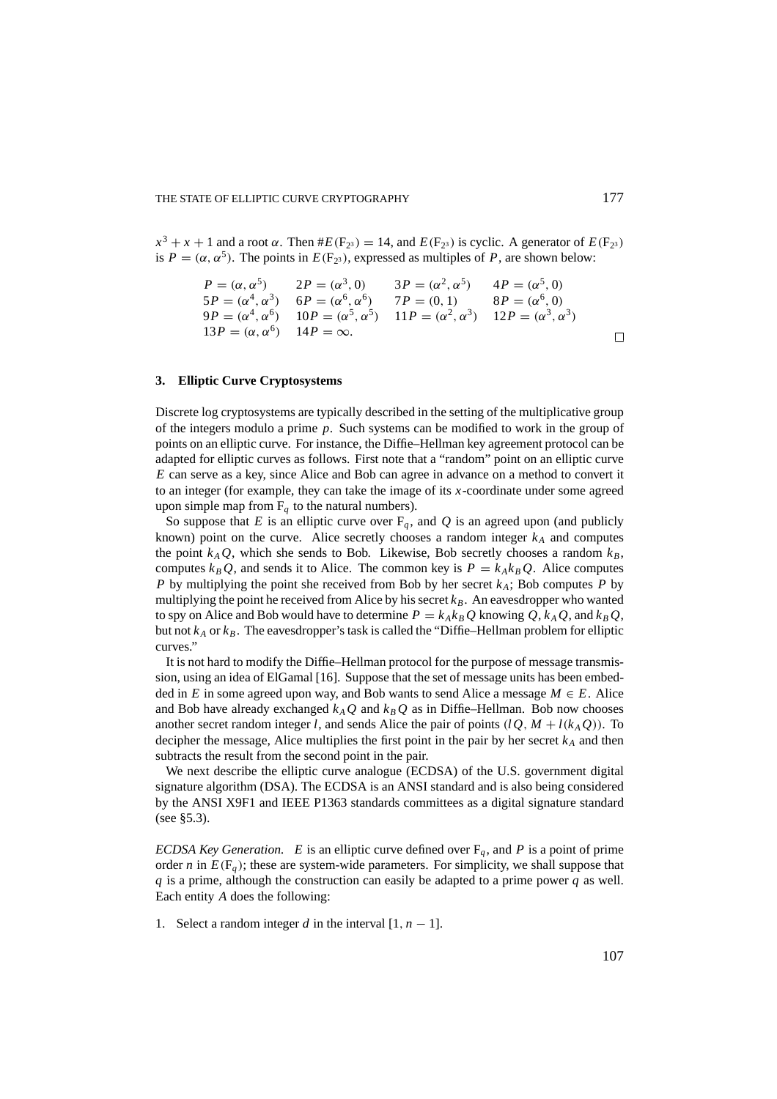$x^3 + x + 1$  and a root  $\alpha$ . Then  $#E(F_{2^3}) = 14$ , and  $E(F_{2^3})$  is cyclic. A generator of  $E(F_{2^3})$ is  $P = (\alpha, \alpha^5)$ . The points in  $E(F_{2^3})$ , expressed as multiples of *P*, are shown below:

$$
P = (\alpha, \alpha^5) \qquad 2P = (\alpha^3, 0) \qquad 3P = (\alpha^2, \alpha^5) \qquad 4P = (\alpha^5, 0)
$$
  
\n
$$
5P = (\alpha^4, \alpha^3) \qquad 6P = (\alpha^6, \alpha^6) \qquad 7P = (0, 1) \qquad 8P = (\alpha^6, 0)
$$
  
\n
$$
9P = (\alpha^4, \alpha^6) \qquad 10P = (\alpha^5, \alpha^5) \qquad 11P = (\alpha^2, \alpha^3) \qquad 12P = (\alpha^3, \alpha^3)
$$
  
\n
$$
13P = (\alpha, \alpha^6) \qquad 14P = \infty.
$$

# **3. Elliptic Curve Cryptosystems**

Discrete log cryptosystems are typically described in the setting of the multiplicative group of the integers modulo a prime *p*. Such systems can be modified to work in the group of points on an elliptic curve. For instance, the Diffie–Hellman key agreement protocol can be adapted for elliptic curves as follows. First note that a "random" point on an elliptic curve *E* can serve as a key, since Alice and Bob can agree in advance on a method to convert it to an integer (for example, they can take the image of its *x*-coordinate under some agreed upon simple map from  $F_q$  to the natural numbers).

So suppose that *E* is an elliptic curve over  $F_q$ , and *Q* is an agreed upon (and publicly known) point on the curve. Alice secretly chooses a random integer  $k_A$  and computes the point  $k_A Q$ , which she sends to Bob. Likewise, Bob secretly chooses a random  $k_B$ , computes  $k_B Q$ , and sends it to Alice. The common key is  $P = k_A k_B Q$ . Alice computes *P* by multiplying the point she received from Bob by her secret *kA*; Bob computes *P* by multiplying the point he received from Alice by his secret  $k_B$ . An eavesdropper who wanted to spy on Alice and Bob would have to determine  $P = k_A k_B Q$  knowing  $Q, k_A Q$ , and  $k_B Q$ , but not  $k_A$  or  $k_B$ . The eavesdropper's task is called the "Diffie–Hellman problem for elliptic curves."

It is not hard to modify the Diffie–Hellman protocol for the purpose of message transmission, using an idea of ElGamal [16]. Suppose that the set of message units has been embedded in *E* in some agreed upon way, and Bob wants to send Alice a message  $M \in E$ . Alice and Bob have already exchanged  $k_A Q$  and  $k_B Q$  as in Diffie–Hellman. Bob now chooses another secret random integer *l*, and sends Alice the pair of points  $(lQ, M + l(k_AQ))$ . To decipher the message, Alice multiplies the first point in the pair by her secret  $k_A$  and then subtracts the result from the second point in the pair.

We next describe the elliptic curve analogue (ECDSA) of the U.S. government digital signature algorithm (DSA). The ECDSA is an ANSI standard and is also being considered by the ANSI X9F1 and IEEE P1363 standards committees as a digital signature standard (see §5.3).

*ECDSA Key Generation. E* is an elliptic curve defined over  $F_q$ , and *P* is a point of prime order *n* in  $E(F_q)$ ; these are system-wide parameters. For simplicity, we shall suppose that *q* is a prime, although the construction can easily be adapted to a prime power *q* as well. Each entity *A* does the following:

1. Select a random integer *d* in the interval  $[1, n - 1]$ .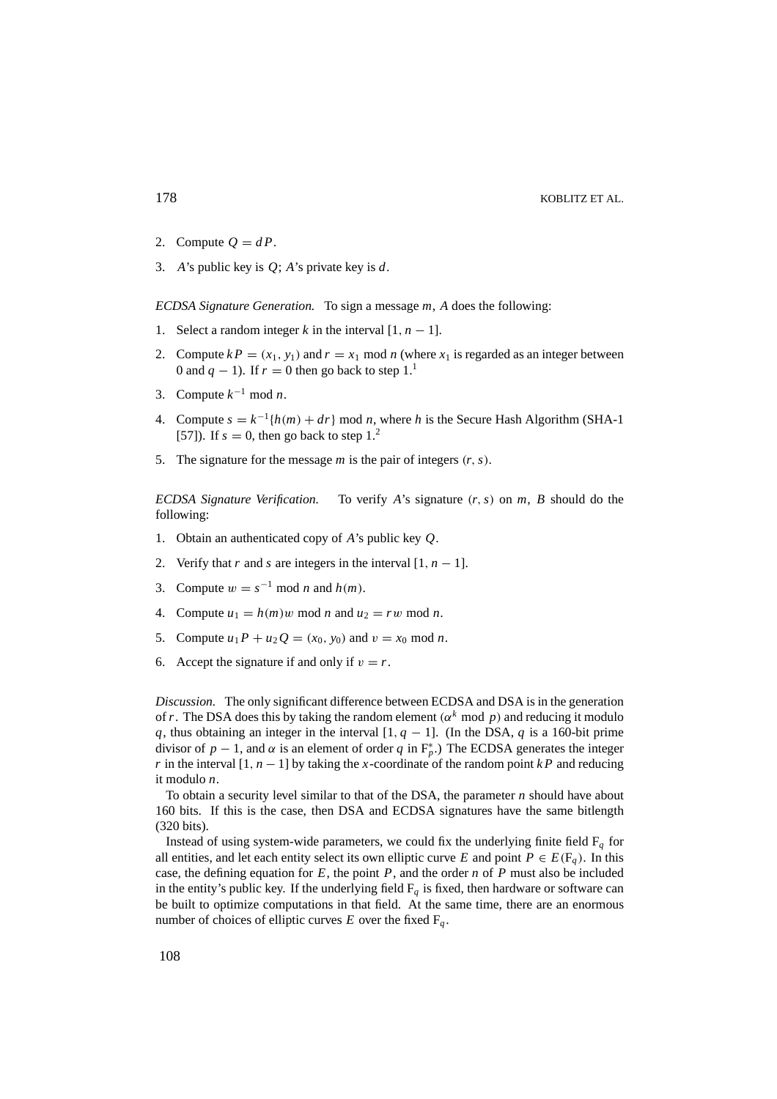- 2. Compute  $Q = dP$ .
- 3. *A*'s public key is *Q*; *A*'s private key is *d*.

*ECDSA Signature Generation.* To sign a message *m*, *A* does the following:

- 1. Select a random integer *k* in the interval  $[1, n 1]$ .
- 2. Compute  $k P = (x_1, y_1)$  and  $r = x_1$  mod *n* (where  $x_1$  is regarded as an integer between 0 and  $q - 1$ ). If  $r = 0$  then go back to step 1.<sup>1</sup>
- 3. Compute  $k^{-1}$  mod *n*.
- 4. Compute  $s = k^{-1}{h(m) + dr}$  mod *n*, where *h* is the Secure Hash Algorithm (SHA-1) [57]). If  $s = 0$ , then go back to step 1.<sup>2</sup>
- 5. The signature for the message *m* is the pair of integers (*r*,*s*).

*ECDSA Signature Verification.* To verify *A*'s signature (*r*,*s*) on *m*, *B* should do the following:

- 1. Obtain an authenticated copy of *A*'s public key *Q*.
- 2. Verify that *r* and *s* are integers in the interval  $[1, n 1]$ .
- 3. Compute  $w = s^{-1} \text{ mod } n$  and  $h(m)$ .
- 4. Compute  $u_1 = h(m)w \mod n$  and  $u_2 = rw \mod n$ .
- 5. Compute  $u_1P + u_2Q = (x_0, y_0)$  and  $v = x_0 \text{ mod } n$ .
- 6. Accept the signature if and only if  $v = r$ .

*Discussion.* The only significant difference between ECDSA and DSA is in the generation of *r*. The DSA does this by taking the random element ( $\alpha^k$  mod *p*) and reducing it modulo *q*, thus obtaining an integer in the interval  $[1, q - 1]$ . (In the DSA, *q* is a 160-bit prime divisor of  $p-1$ , and  $\alpha$  is an element of order  $q$  in  $F_p^*$ .) The ECDSA generates the integer *r* in the interval  $[1, n - 1]$  by taking the *x*-coordinate of the random point *kP* and reducing it modulo *n*.

To obtain a security level similar to that of the DSA, the parameter *n* should have about 160 bits. If this is the case, then DSA and ECDSA signatures have the same bitlength (320 bits).

Instead of using system-wide parameters, we could fix the underlying finite field  $F_q$  for all entities, and let each entity select its own elliptic curve *E* and point  $P \in E(\mathbb{F}_q)$ . In this case, the defining equation for  $E$ , the point  $P$ , and the order  $n$  of  $P$  must also be included in the entity's public key. If the underlying field  $F_q$  is fixed, then hardware or software can be built to optimize computations in that field. At the same time, there are an enormous number of choices of elliptic curves  $E$  over the fixed  $F_q$ .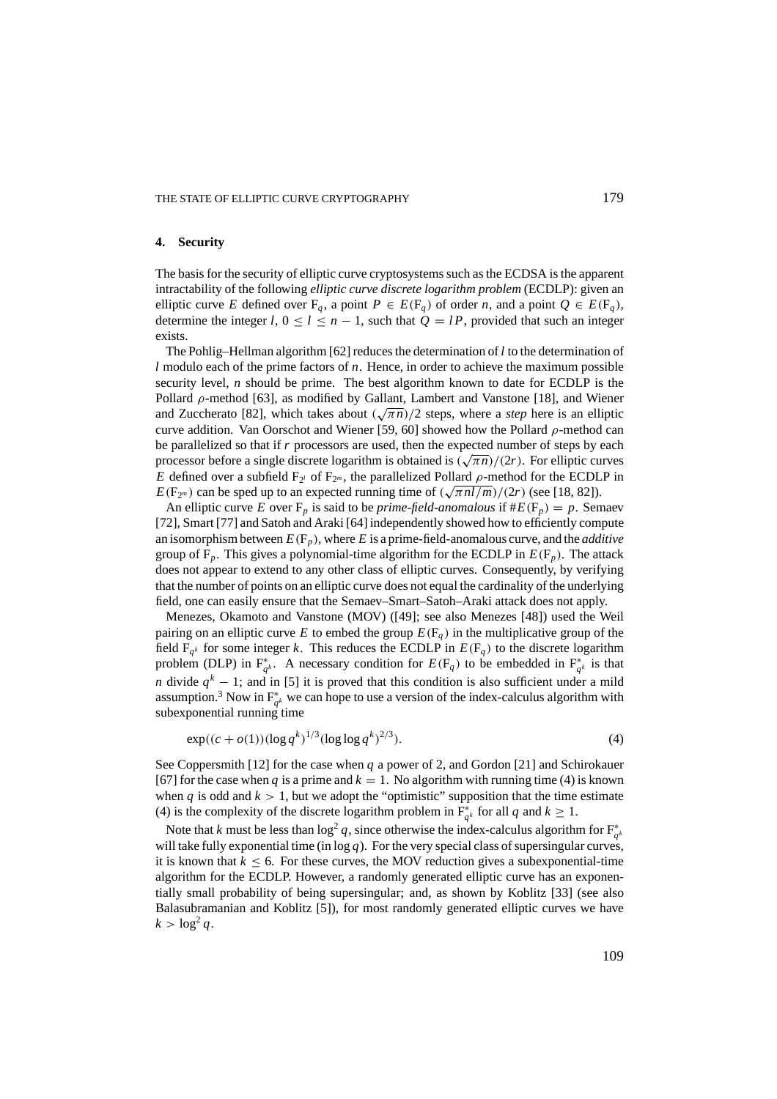### **4. Security**

The basis for the security of elliptic curve cryptosystems such as the ECDSA is the apparent intractability of the following *elliptic curve discrete logarithm problem* (ECDLP): given an elliptic curve *E* defined over  $F_q$ , a point  $P \in E(F_q)$  of order *n*, and a point  $Q \in E(F_q)$ , determine the integer *l*,  $0 \le l \le n - 1$ , such that  $Q = lP$ , provided that such an integer exists.

The Pohlig–Hellman algorithm [62] reduces the determination of*l* to the determination of *l* modulo each of the prime factors of *n*. Hence, in order to achieve the maximum possible security level, *n* should be prime. The best algorithm known to date for ECDLP is the Pollard  $\rho$ -method [63], as modified by Gallant, Lambert and Vanstone [18], and Wiener  $P$ <sup>1</sup> and *ρ*-method [65], as modified by Ganant, Lambert and Vanstone [16], and whener and Zuccherato [82], which takes about  $(\sqrt{\pi n})/2$  steps, where a *step* here is an elliptic curve addition. Van Oorschot and Wiener [59, 60] showed how the Pollard  $\rho$ -method can be parallelized so that if *r* processors are used, then the expected number of steps by each processor before a single discrete logarithm is obtained is ( <sup>√</sup>π*n*)/(2*r*). For elliptic curves *E* defined over a subfield  $F_{2^l}$  of  $F_{2^m}$ , the parallelized Pollard  $\rho$ -method for the ECDLP in *E* defined over a subfield  $F_2$ <sup>*i*</sup> of  $F_2$ <sup>*m*</sup>, the parametrized Ponard *p*-inethod for the ECDL  $E(F_2<sup>m</sup>)$  can be sped up to an expected running time of  $(\sqrt{\pi n l/m})/(2r)$  (see [18, 82]).

An elliptic curve *E* over  $F_p$  is said to be *prime-field-anomalous* if  $#E(F_p) = p$ . Semaev [72], Smart [77] and Satoh and Araki [64] independently showed how to efficiently compute an isomorphism between  $E(F_p)$ , where *E* is a prime-field-anomalous curve, and the *additive* group of  $F_p$ . This gives a polynomial-time algorithm for the ECDLP in  $E(F_p)$ . The attack does not appear to extend to any other class of elliptic curves. Consequently, by verifying that the number of points on an elliptic curve does not equal the cardinality of the underlying field, one can easily ensure that the Semaev–Smart–Satoh–Araki attack does not apply.

Menezes, Okamoto and Vanstone (MOV) ([49]; see also Menezes [48]) used the Weil pairing on an elliptic curve *E* to embed the group  $E(F_q)$  in the multiplicative group of the field  $F_{q^k}$  for some integer *k*. This reduces the ECDLP in  $E(F_q)$  to the discrete logarithm problem (DLP) in  $F_{q^k}^*$ . A necessary condition for  $E(F_q)$  to be embedded in  $F_{q^k}^*$  is that *n* divide  $q^k - 1$ ; and in [5] it is proved that this condition is also sufficient under a mild assumption.<sup>3</sup> Now in  $F_{q^k}^*$  we can hope to use a version of the index-calculus algorithm with subexponential running time

$$
\exp((c + o(1))(\log q^k)^{1/3} (\log \log q^k)^{2/3}).\tag{4}
$$

See Coppersmith [12] for the case when *q* a power of 2, and Gordon [21] and Schirokauer [67] for the case when *q* is a prime and  $k = 1$ . No algorithm with running time (4) is known when  $q$  is odd and  $k > 1$ , but we adopt the "optimistic" supposition that the time estimate (4) is the complexity of the discrete logarithm problem in  $F^*_{q^k}$  for all *q* and  $k \ge 1$ .

Note that *k* must be less than  $\log^2 q$ , since otherwise the index-calculus algorithm for  $F^*_{q^k}$ will take fully exponential time (in  $log q$ ). For the very special class of supersingular curves, it is known that  $k \leq 6$ . For these curves, the MOV reduction gives a subexponential-time algorithm for the ECDLP. However, a randomly generated elliptic curve has an exponentially small probability of being supersingular; and, as shown by Koblitz [33] (see also Balasubramanian and Koblitz [5]), for most randomly generated elliptic curves we have  $k > \log^2 a$ .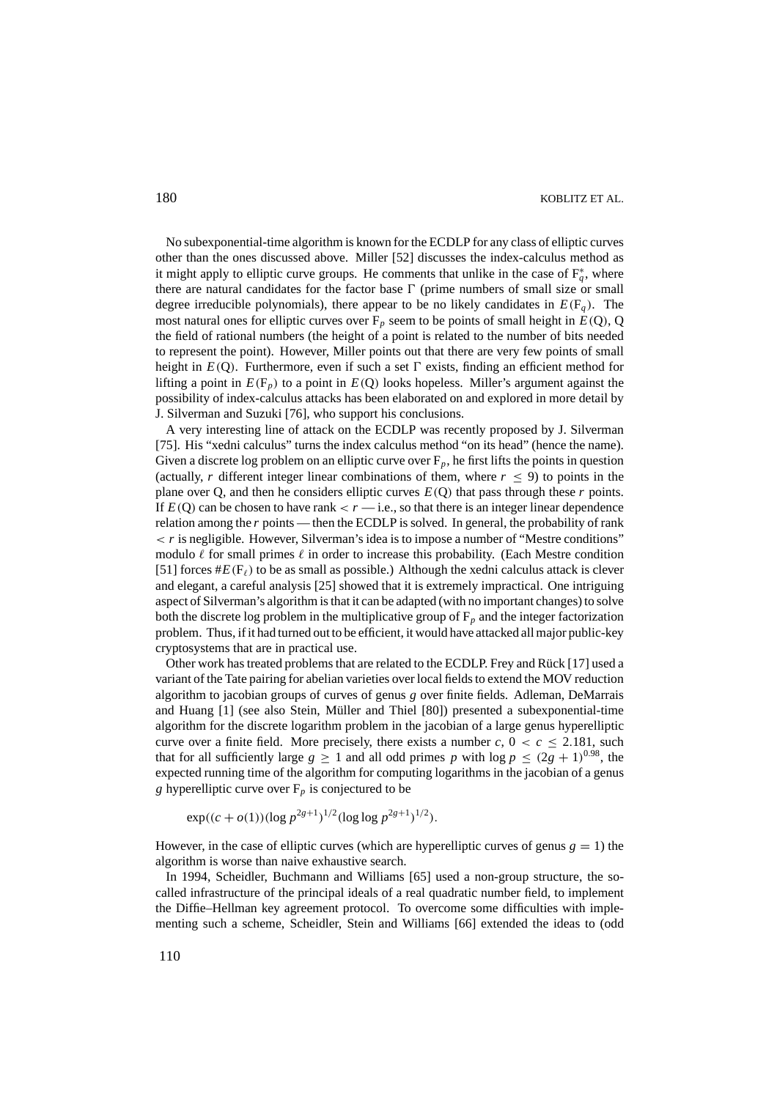No subexponential-time algorithm is known for the ECDLP for any class of elliptic curves other than the ones discussed above. Miller [52] discusses the index-calculus method as it might apply to elliptic curve groups. He comments that unlike in the case of  $F_q^*$ , where there are natural candidates for the factor base  $\Gamma$  (prime numbers of small size or small degree irreducible polynomials), there appear to be no likely candidates in  $E(F_q)$ . The most natural ones for elliptic curves over  $F_p$  seem to be points of small height in  $E(Q)$ , Q the field of rational numbers (the height of a point is related to the number of bits needed to represent the point). However, Miller points out that there are very few points of small height in  $E(Q)$ . Furthermore, even if such a set  $\Gamma$  exists, finding an efficient method for lifting a point in  $E(F_p)$  to a point in  $E(Q)$  looks hopeless. Miller's argument against the possibility of index-calculus attacks has been elaborated on and explored in more detail by J. Silverman and Suzuki [76], who support his conclusions.

A very interesting line of attack on the ECDLP was recently proposed by J. Silverman [75]. His "xedni calculus" turns the index calculus method "on its head" (hence the name). Given a discrete log problem on an elliptic curve over  $F_p$ , he first lifts the points in question (actually, *r* different integer linear combinations of them, where  $r \leq 9$ ) to points in the plane over Q, and then he considers elliptic curves  $E(Q)$  that pass through these  $r$  points. If  $E(Q)$  can be chosen to have rank  $\langle r - i.e.,$  so that there is an integer linear dependence relation among the *r* points — then the ECDLP is solved. In general, the probability of rank  $\langle r \rangle$  is negligible. However, Silverman's idea is to impose a number of "Mestre conditions" modulo  $\ell$  for small primes  $\ell$  in order to increase this probability. (Each Mestre condition [51] forces  $#E(F_\ell)$  to be as small as possible.) Although the xedni calculus attack is clever and elegant, a careful analysis [25] showed that it is extremely impractical. One intriguing aspect of Silverman's algorithm is that it can be adapted (with no important changes) to solve both the discrete log problem in the multiplicative group of  $F_p$  and the integer factorization problem. Thus, if it had turned out to be efficient, it would have attacked all major public-key cryptosystems that are in practical use.

Other work has treated problems that are related to the ECDLP. Frey and Rück [17] used a variant of the Tate pairing for abelian varieties over local fields to extend the MOV reduction algorithm to jacobian groups of curves of genus *g* over finite fields. Adleman, DeMarrais and Huang [1] (see also Stein, Müller and Thiel [80]) presented a subexponential-time algorithm for the discrete logarithm problem in the jacobian of a large genus hyperelliptic curve over a finite field. More precisely, there exists a number  $c, 0 < c \le 2.181$ , such that for all sufficiently large  $g \ge 1$  and all odd primes p with  $\log p \le (2g + 1)^{0.98}$ , the expected running time of the algorithm for computing logarithms in the jacobian of a genus *g* hyperelliptic curve over  $F_p$  is conjectured to be

$$
\exp((c + o(1))(\log p^{2g+1})^{1/2}(\log \log p^{2g+1})^{1/2}).
$$

However, in the case of elliptic curves (which are hyperelliptic curves of genus  $g = 1$ ) the algorithm is worse than naive exhaustive search.

In 1994, Scheidler, Buchmann and Williams [65] used a non-group structure, the socalled infrastructure of the principal ideals of a real quadratic number field, to implement the Diffie–Hellman key agreement protocol. To overcome some difficulties with implementing such a scheme, Scheidler, Stein and Williams [66] extended the ideas to (odd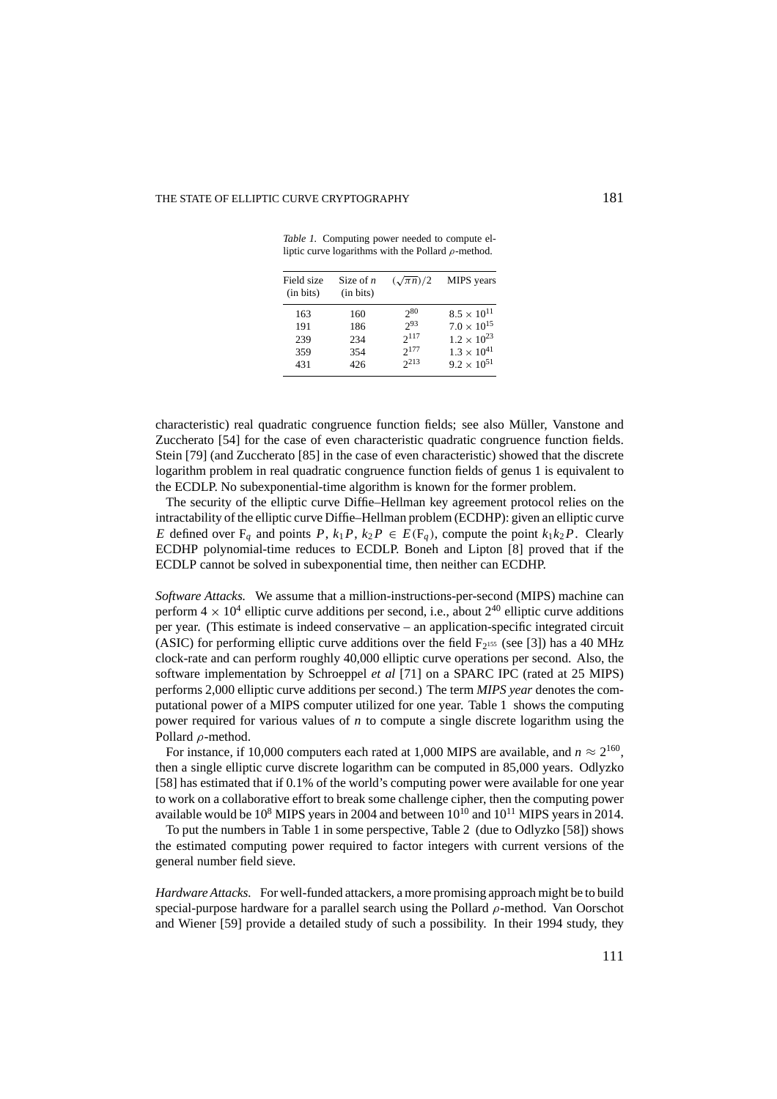*Table 1.* Computing power needed to compute elliptic curve logarithms with the Pollard  $\rho$ -method.

| Field size<br>(in bits) | Size of $n$<br>(in bits) | $(\sqrt{\pi n})/2$ | MIPS years           |
|-------------------------|--------------------------|--------------------|----------------------|
| 163                     | 160                      | 280                | $8.5 \times 10^{11}$ |
| 191                     | 186                      | 293                | $7.0 \times 10^{15}$ |
| 239                     | 234                      | $2^{117}$          | $1.2 \times 10^{23}$ |
| 359                     | 354                      | $2^{177}$          | $1.3 \times 10^{41}$ |
| 431                     | 426                      | $2^{213}$          | $9.2 \times 10^{51}$ |

characteristic) real quadratic congruence function fields; see also Müller, Vanstone and Zuccherato [54] for the case of even characteristic quadratic congruence function fields. Stein [79] (and Zuccherato [85] in the case of even characteristic) showed that the discrete logarithm problem in real quadratic congruence function fields of genus 1 is equivalent to the ECDLP. No subexponential-time algorithm is known for the former problem.

The security of the elliptic curve Diffie–Hellman key agreement protocol relies on the intractability of the elliptic curve Diffie–Hellman problem (ECDHP): given an elliptic curve *E* defined over  $F_q$  and points *P*,  $k_1P$ ,  $k_2P \in E(F_q)$ , compute the point  $k_1k_2P$ . Clearly ECDHP polynomial-time reduces to ECDLP. Boneh and Lipton [8] proved that if the ECDLP cannot be solved in subexponential time, then neither can ECDHP.

*Software Attacks.* We assume that a million-instructions-per-second (MIPS) machine can perform  $4 \times 10^4$  elliptic curve additions per second, i.e., about  $2^{40}$  elliptic curve additions per year. (This estimate is indeed conservative – an application-specific integrated circuit (ASIC) for performing elliptic curve additions over the field  $F_{2^{155}}$  (see [3]) has a 40 MHz clock-rate and can perform roughly 40,000 elliptic curve operations per second. Also, the software implementation by Schroeppel *et al* [71] on a SPARC IPC (rated at 25 MIPS) performs 2,000 elliptic curve additions per second.) The term *MIPS year* denotes the computational power of a MIPS computer utilized for one year. Table 1 shows the computing power required for various values of *n* to compute a single discrete logarithm using the Pollard ρ-method.

For instance, if 10,000 computers each rated at 1,000 MIPS are available, and  $n \approx 2^{160}$ , then a single elliptic curve discrete logarithm can be computed in 85,000 years. Odlyzko [58] has estimated that if 0.1% of the world's computing power were available for one year to work on a collaborative effort to break some challenge cipher, then the computing power available would be  $10^8$  MIPS years in 2004 and between  $10^{10}$  and  $10^{11}$  MIPS years in 2014.

To put the numbers in Table 1 in some perspective, Table 2 (due to Odlyzko [58]) shows the estimated computing power required to factor integers with current versions of the general number field sieve.

*Hardware Attacks.* For well-funded attackers, a more promising approach might be to build special-purpose hardware for a parallel search using the Pollard  $\rho$ -method. Van Oorschot and Wiener [59] provide a detailed study of such a possibility. In their 1994 study, they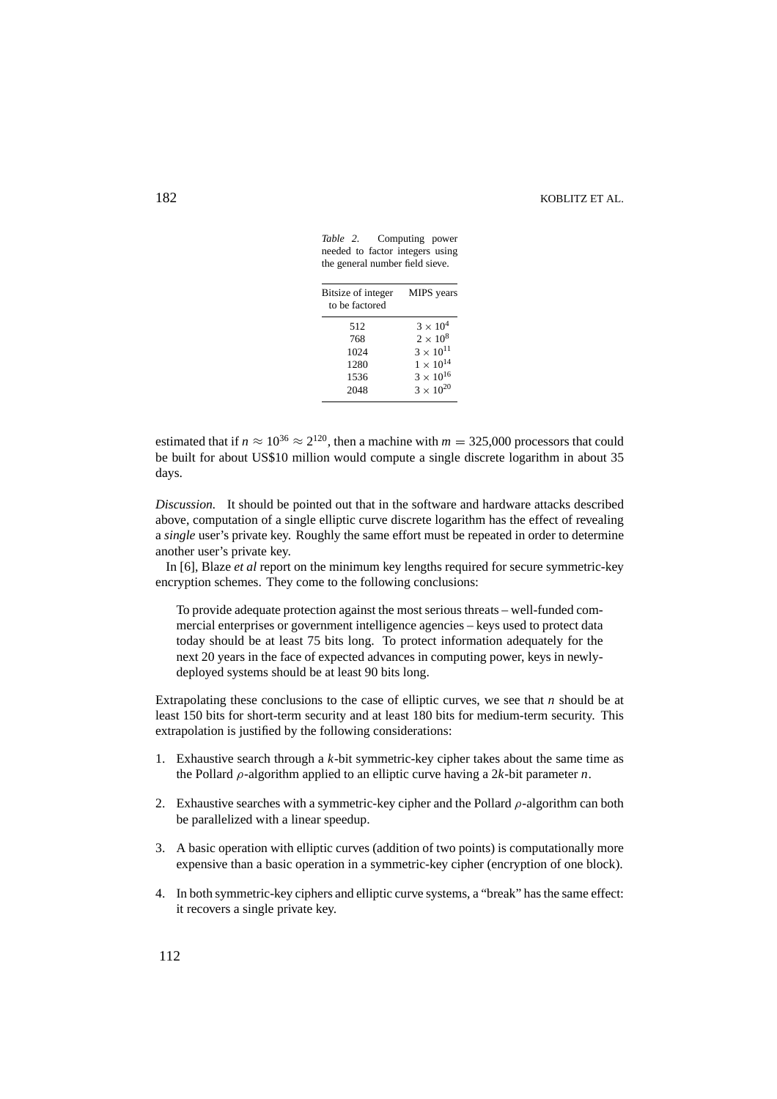# 182 KOBLITZ ET AL.

Bitsize of integer MIPS years to be factored 512  $3 \times 10^4$ 768  $2 \times 10^8$ <br>1024  $3 \times 10^{11}$  $3 \times 10^{11}$  $1280 \qquad \qquad 1 \times 10^{14}$  $3\times10^{16}$  $3\times10^{20}$ 

*Table 2.* Computing power needed to factor integers using the general number field sieve.

estimated that if  $n \approx 10^{36} \approx 2^{120}$ , then a machine with  $m = 325{,}000$  processors that could be built for about US\$10 million would compute a single discrete logarithm in about 35 days.

*Discussion.* It should be pointed out that in the software and hardware attacks described above, computation of a single elliptic curve discrete logarithm has the effect of revealing a *single* user's private key. Roughly the same effort must be repeated in order to determine another user's private key.

In [6], Blaze *et al* report on the minimum key lengths required for secure symmetric-key encryption schemes. They come to the following conclusions:

To provide adequate protection against the most serious threats – well-funded commercial enterprises or government intelligence agencies – keys used to protect data today should be at least 75 bits long. To protect information adequately for the next 20 years in the face of expected advances in computing power, keys in newlydeployed systems should be at least 90 bits long.

Extrapolating these conclusions to the case of elliptic curves, we see that *n* should be at least 150 bits for short-term security and at least 180 bits for medium-term security. This extrapolation is justified by the following considerations:

- 1. Exhaustive search through a *k*-bit symmetric-key cipher takes about the same time as the Pollard ρ-algorithm applied to an elliptic curve having a 2*k*-bit parameter *n*.
- 2. Exhaustive searches with a symmetric-key cipher and the Pollard  $\rho$ -algorithm can both be parallelized with a linear speedup.
- 3. A basic operation with elliptic curves (addition of two points) is computationally more expensive than a basic operation in a symmetric-key cipher (encryption of one block).
- 4. In both symmetric-key ciphers and elliptic curve systems, a "break" has the same effect: it recovers a single private key.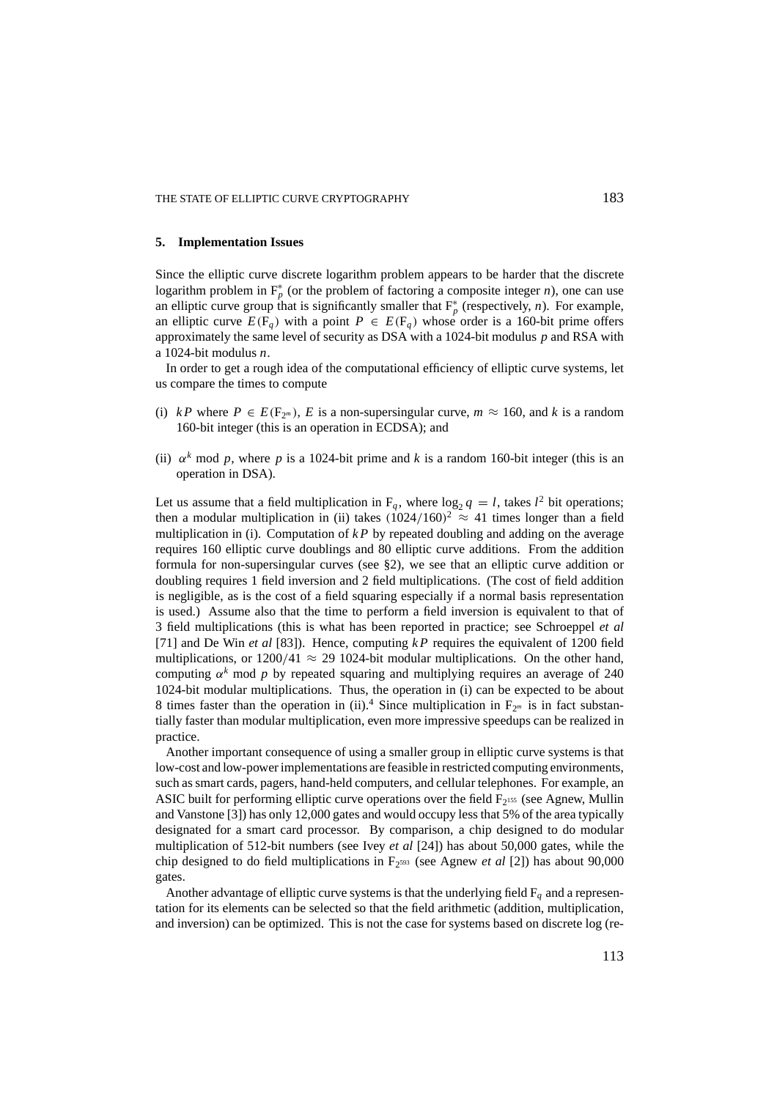### **5. Implementation Issues**

Since the elliptic curve discrete logarithm problem appears to be harder that the discrete logarithm problem in  $F_p^*$  (or the problem of factoring a composite integer *n*), one can use an elliptic curve group that is significantly smaller that  $F_p^*$  (respectively, *n*). For example, an elliptic curve  $E(F_q)$  with a point  $P \in E(F_q)$  whose order is a 160-bit prime offers approximately the same level of security as DSA with a 1024-bit modulus *p* and RSA with a 1024-bit modulus *n*.

In order to get a rough idea of the computational efficiency of elliptic curve systems, let us compare the times to compute

- (i) *kP* where  $P \in E(F_{2^m})$ , *E* is a non-supersingular curve,  $m \approx 160$ , and *k* is a random 160-bit integer (this is an operation in ECDSA); and
- (ii)  $\alpha^k$  mod p, where p is a 1024-bit prime and k is a random 160-bit integer (this is an operation in DSA).

Let us assume that a field multiplication in  $F_q$ , where  $\log_2 q = l$ , takes  $l^2$  bit operations; then a modular multiplication in (ii) takes  $(1024/160)^2 \approx 41$  times longer than a field multiplication in (i). Computation of  $kP$  by repeated doubling and adding on the average requires 160 elliptic curve doublings and 80 elliptic curve additions. From the addition formula for non-supersingular curves (see §2), we see that an elliptic curve addition or doubling requires 1 field inversion and 2 field multiplications. (The cost of field addition is negligible, as is the cost of a field squaring especially if a normal basis representation is used.) Assume also that the time to perform a field inversion is equivalent to that of 3 field multiplications (this is what has been reported in practice; see Schroeppel *et al* [71] and De Win *et al* [83]). Hence, computing *k P* requires the equivalent of 1200 field multiplications, or  $1200/41 \approx 29$  1024-bit modular multiplications. On the other hand, computing  $\alpha^k$  mod *p* by repeated squaring and multiplying requires an average of 240 1024-bit modular multiplications. Thus, the operation in (i) can be expected to be about 8 times faster than the operation in (ii).<sup>4</sup> Since multiplication in  $F_{2^m}$  is in fact substantially faster than modular multiplication, even more impressive speedups can be realized in practice.

Another important consequence of using a smaller group in elliptic curve systems is that low-cost and low-power implementations are feasible in restricted computing environments, such as smart cards, pagers, hand-held computers, and cellular telephones. For example, an ASIC built for performing elliptic curve operations over the field  $F_{2^{155}}$  (see Agnew, Mullin and Vanstone [3]) has only 12,000 gates and would occupy less that 5% of the area typically designated for a smart card processor. By comparison, a chip designed to do modular multiplication of 512-bit numbers (see Ivey *et al* [24]) has about 50,000 gates, while the chip designed to do field multiplications in F2593 (see Agnew *et al* [2]) has about 90,000 gates.

Another advantage of elliptic curve systems is that the underlying field  $F_q$  and a representation for its elements can be selected so that the field arithmetic (addition, multiplication, and inversion) can be optimized. This is not the case for systems based on discrete log (re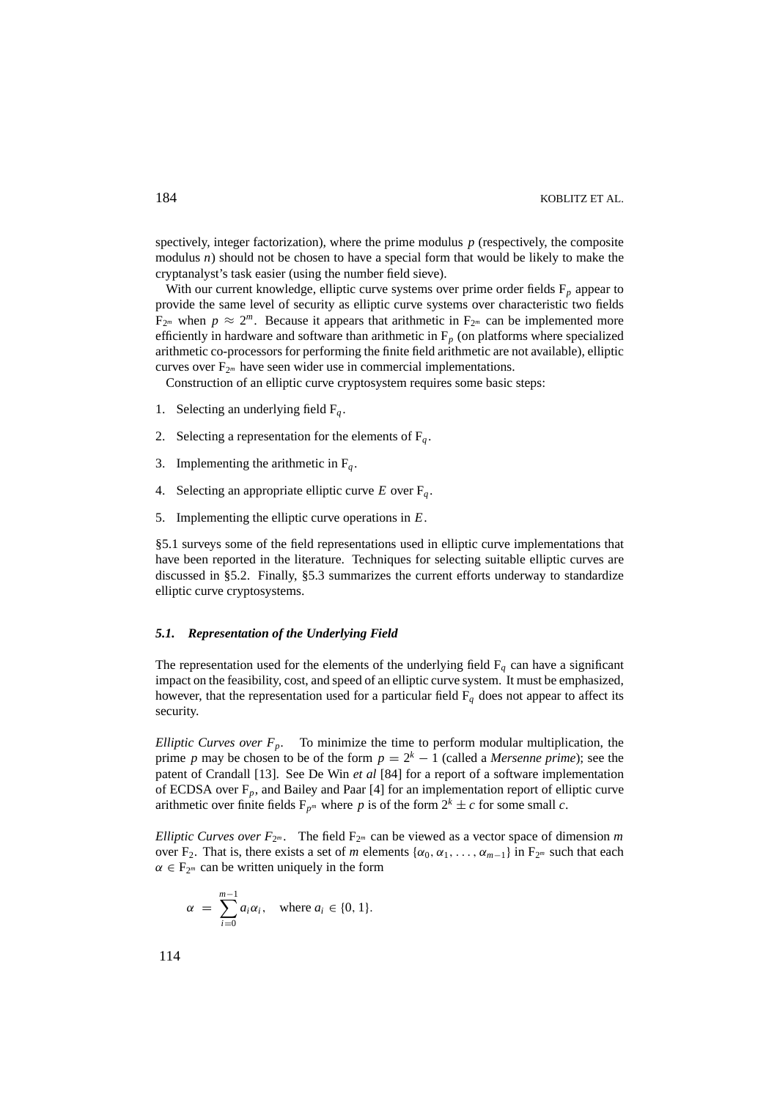spectively, integer factorization), where the prime modulus *p* (respectively, the composite modulus  $n$ ) should not be chosen to have a special form that would be likely to make the cryptanalyst's task easier (using the number field sieve).

With our current knowledge, elliptic curve systems over prime order fields  $F_p$  appear to provide the same level of security as elliptic curve systems over characteristic two fields  $F_{2^m}$  when  $p \approx 2^m$ . Because it appears that arithmetic in  $F_{2^m}$  can be implemented more efficiently in hardware and software than arithmetic in  $F_p$  (on platforms where specialized arithmetic co-processors for performing the finite field arithmetic are not available), elliptic curves over  $F_{2^m}$  have seen wider use in commercial implementations.

Construction of an elliptic curve cryptosystem requires some basic steps:

- 1. Selecting an underlying field  $F_q$ .
- 2. Selecting a representation for the elements of  $F_a$ .
- 3. Implementing the arithmetic in  $F_q$ .
- 4. Selecting an appropriate elliptic curve  $E$  over  $F_q$ .
- 5. Implementing the elliptic curve operations in *E*.

§5.1 surveys some of the field representations used in elliptic curve implementations that have been reported in the literature. Techniques for selecting suitable elliptic curves are discussed in §5.2. Finally, §5.3 summarizes the current efforts underway to standardize elliptic curve cryptosystems.

## *5.1. Representation of the Underlying Field*

The representation used for the elements of the underlying field  $F_q$  can have a significant impact on the feasibility, cost, and speed of an elliptic curve system. It must be emphasized, however, that the representation used for a particular field  $F_q$  does not appear to affect its security.

*Elliptic Curves over*  $F_p$ *.* To minimize the time to perform modular multiplication, the prime *p* may be chosen to be of the form  $p = 2<sup>k</sup> - 1$  (called a *Mersenne prime*); see the patent of Crandall [13]. See De Win *et al* [84] for a report of a software implementation of ECDSA over  $F_p$ , and Bailey and Paar [4] for an implementation report of elliptic curve arithmetic over finite fields  $F_{p^m}$  where p is of the form  $2^k \pm c$  for some small c.

*Elliptic Curves over*  $F_{2^m}$ *.* The field  $F_{2^m}$  can be viewed as a vector space of dimension *m* over F<sub>2</sub>. That is, there exists a set of *m* elements  $\{\alpha_0, \alpha_1, \ldots, \alpha_{m-1}\}\$  in F<sub>2</sub><sup>*m*</sup> such that each  $\alpha \in F_{2^m}$  can be written uniquely in the form

$$
\alpha = \sum_{i=0}^{m-1} a_i \alpha_i, \quad \text{where } a_i \in \{0, 1\}.
$$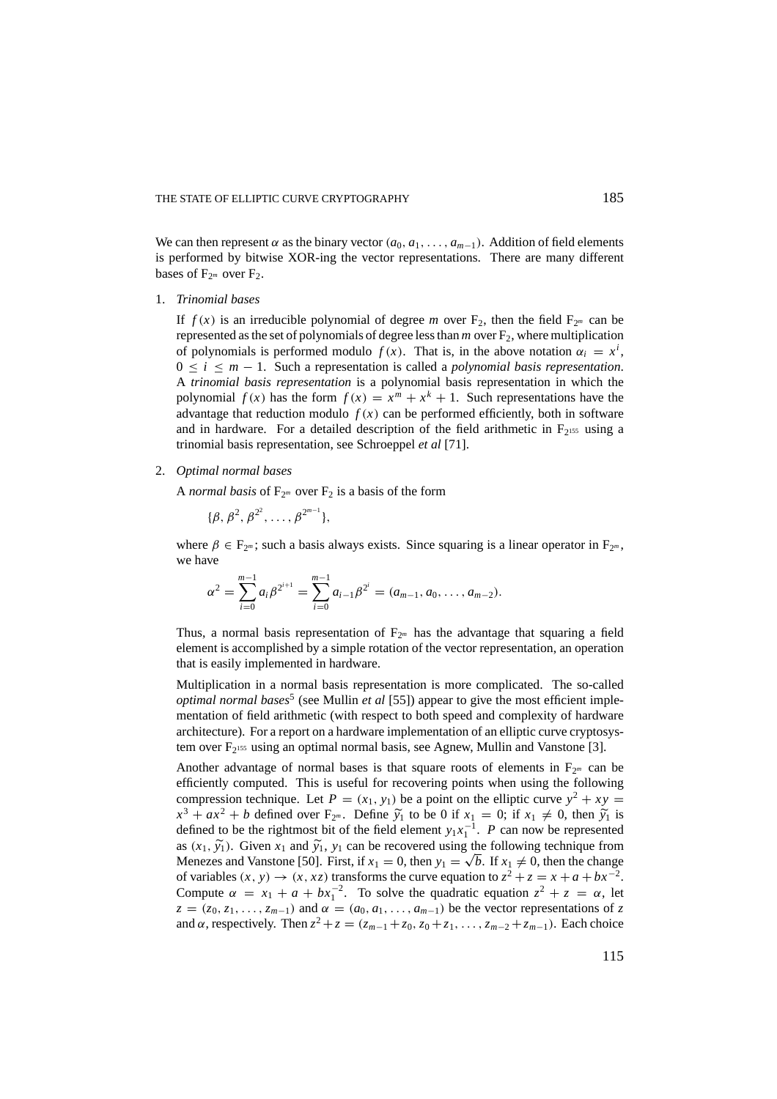We can then represent  $\alpha$  as the binary vector  $(a_0, a_1, \ldots, a_{m-1})$ . Addition of field elements is performed by bitwise XOR-ing the vector representations. There are many different bases of  $F_{2^m}$  over  $F_2$ .

#### 1. *Trinomial bases*

If  $f(x)$  is an irreducible polynomial of degree *m* over  $F_2$ , then the field  $F_{2^m}$  can be represented as the set of polynomials of degree less than  $m$  over  $F_2$ , where multiplication of polynomials is performed modulo  $f(x)$ . That is, in the above notation  $\alpha_i = x^i$ , 0 ≤ *i* ≤ *m* − 1. Such a representation is called a *polynomial basis representation*. A *trinomial basis representation* is a polynomial basis representation in which the polynomial  $f(x)$  has the form  $f(x) = x^m + x^k + 1$ . Such representations have the advantage that reduction modulo  $f(x)$  can be performed efficiently, both in software and in hardware. For a detailed description of the field arithmetic in  $F<sub>2155</sub>$  using a trinomial basis representation, see Schroeppel *et al* [71].

2. *Optimal normal bases*

A *normal basis* of  $F_{2^m}$  over  $F_2$  is a basis of the form

 $\{\beta, \beta^2, \beta^{2^2}, \ldots, \beta^{2^{m-1}}\},\$ 

where  $\beta \in F_{2^m}$ ; such a basis always exists. Since squaring is a linear operator in  $F_{2^m}$ , we have

$$
\alpha^2 = \sum_{i=0}^{m-1} a_i \beta^{2^{i+1}} = \sum_{i=0}^{m-1} a_{i-1} \beta^{2^i} = (a_{m-1}, a_0, \dots, a_{m-2}).
$$

Thus, a normal basis representation of  $F_{2<sup>m</sup>}$  has the advantage that squaring a field element is accomplished by a simple rotation of the vector representation, an operation that is easily implemented in hardware.

Multiplication in a normal basis representation is more complicated. The so-called *optimal normal bases*<sup>5</sup> (see Mullin *et al* [55]) appear to give the most efficient implementation of field arithmetic (with respect to both speed and complexity of hardware architecture). For a report on a hardware implementation of an elliptic curve cryptosystem over  $F_2$ <sup>155</sup> using an optimal normal basis, see Agnew, Mullin and Vanstone [3].

Another advantage of normal bases is that square roots of elements in  $F_{2<sup>m</sup>}$  can be efficiently computed. This is useful for recovering points when using the following compression technique. Let  $P = (x_1, y_1)$  be a point on the elliptic curve  $y^2 + xy =$  $x^3 + ax^2 + b$  defined over  $F_{2^m}$ . Define  $\tilde{y}_1$  to be 0 if  $x_1 = 0$ ; if  $x_1 \neq 0$ , then  $\tilde{y}_1$  is defined to be the rightmost bit of the field element  $y_1x_1^{-1}$ . *P* can now be represented as  $(x_1, \tilde{y}_1)$ . Given  $x_1$  and  $\tilde{y}_1$ ,  $y_1$  can be recovered using the following technique from Menezes and Vanstone [50]. First, if  $x_1 = 0$ , then  $y_1 = \sqrt{b}$ . If  $x_1 \neq 0$ , then the change of variables  $(x, y) \rightarrow (x, xz)$  transforms the curve equation to  $z^2 + z = x + a + bx^{-2}$ . Compute  $\alpha = x_1 + a + bx_1^{-2}$ . To solve the quadratic equation  $z^2 + z = \alpha$ , let  $z = (z_0, z_1, \ldots, z_{m-1})$  and  $\alpha = (a_0, a_1, \ldots, a_{m-1})$  be the vector representations of z and  $\alpha$ , respectively. Then  $z^2 + z = (z_{m-1} + z_0, z_0 + z_1, \ldots, z_{m-2} + z_{m-1})$ . Each choice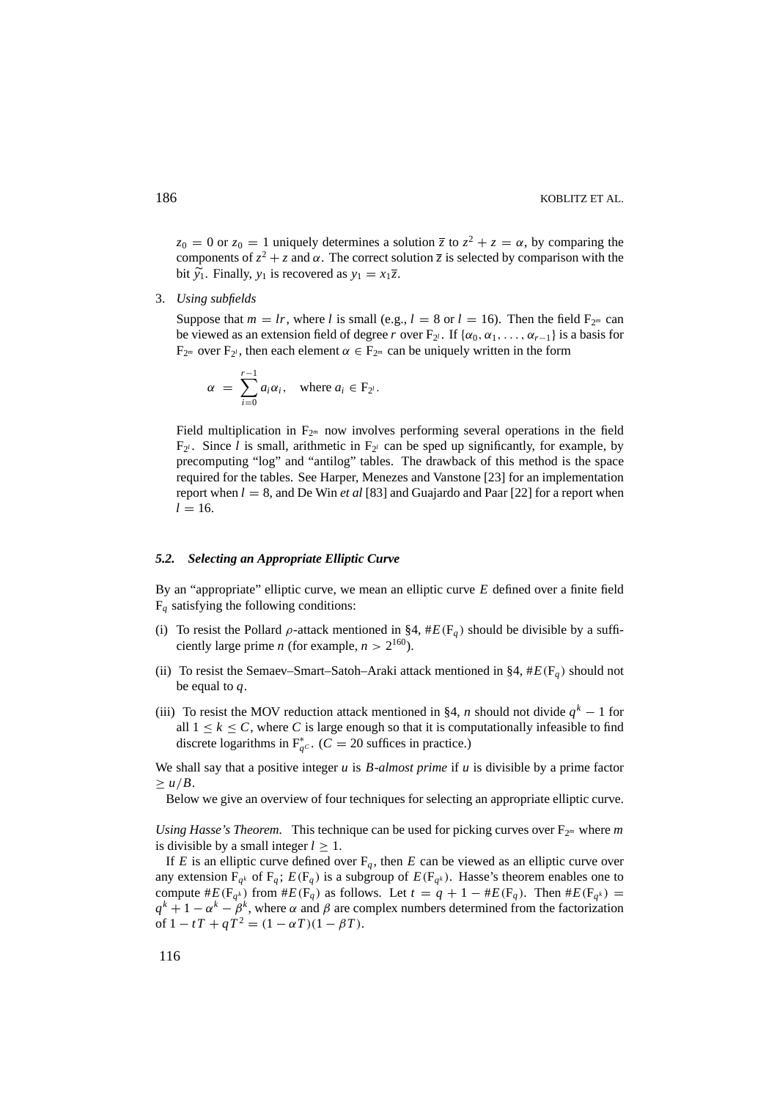$z_0 = 0$  or  $z_0 = 1$  uniquely determines a solution  $\overline{z}$  to  $z^2 + z = \alpha$ , by comparing the components of  $z^2 + z$  and  $\alpha$ . The correct solution  $\overline{z}$  is selected by comparison with the bit  $\widetilde{y}_1$ . Finally,  $y_1$  is recovered as  $y_1 = x_1 \overline{z}$ .

3. *Using subfields*

Suppose that  $m = lr$ , where *l* is small (e.g.,  $l = 8$  or  $l = 16$ ). Then the field  $F_{2^m}$  can be viewed as an extension field of degree *r* over  $F_2$ . If { $\alpha_0, \alpha_1, \ldots, \alpha_{r-1}$ } is a basis for  $F_{2^m}$  over  $F_{2^l}$ , then each element  $\alpha \in F_{2^m}$  can be uniquely written in the form

$$
\alpha = \sum_{i=0}^{r-1} a_i \alpha_i, \quad \text{where } a_i \in F_{2^i}.
$$

Field multiplication in  $F_{2^m}$  now involves performing several operations in the field  $F_{2l}$ . Since *l* is small, arithmetic in  $F_{2l}$  can be sped up significantly, for example, by precomputing "log" and "antilog" tables. The drawback of this method is the space required for the tables. See Harper, Menezes and Vanstone [23] for an implementation report when *l* = 8, and De Win *et al* [83] and Guajardo and Paar [22] for a report when  $l = 16$ .

# *5.2. Selecting an Appropriate Elliptic Curve*

By an "appropriate" elliptic curve, we mean an elliptic curve *E* defined over a finite field  $F_q$  satisfying the following conditions:

- (i) To resist the Pollard  $\rho$ -attack mentioned in §4, # $E(F_a)$  should be divisible by a sufficiently large prime *n* (for example,  $n > 2^{160}$ ).
- (ii) To resist the Semaev–Smart–Satoh–Araki attack mentioned in §4,  $#E(F_q)$  should not be equal to *q*.
- (iii) To resist the MOV reduction attack mentioned in §4, *n* should not divide  $q^k 1$  for all  $1 \leq k \leq C$ , where C is large enough so that it is computationally infeasible to find discrete logarithms in  $F_{q^C}^*$ . (*C* = 20 suffices in practice.)

We shall say that a positive integer *u* is *B-almost prime* if *u* is divisible by a prime factor  $\geq u/B$ .

Below we give an overview of four techniques for selecting an appropriate elliptic curve.

*Using Hasse's Theorem.* This technique can be used for picking curves over  $F_{2^m}$  where m is divisible by a small integer  $l \geq 1$ .

If *E* is an elliptic curve defined over  $F_q$ , then *E* can be viewed as an elliptic curve over any extension  $F_{q^k}$  of  $F_q$ ;  $E(F_q)$  is a subgroup of  $E(F_{q^k})$ . Hasse's theorem enables one to compute  $#E(F_{q^k})$  from  $#E(F_q)$  as follows. Let  $t = q + 1 - #E(F_q)$ . Then  $#E(F_{q^k}) =$  $q^k + 1 - \alpha^k - \beta^k$ , where  $\alpha$  and  $\beta$  are complex numbers determined from the factorization of  $1 - tT + qT^2 = (1 - \alpha T)(1 - \beta T)$ .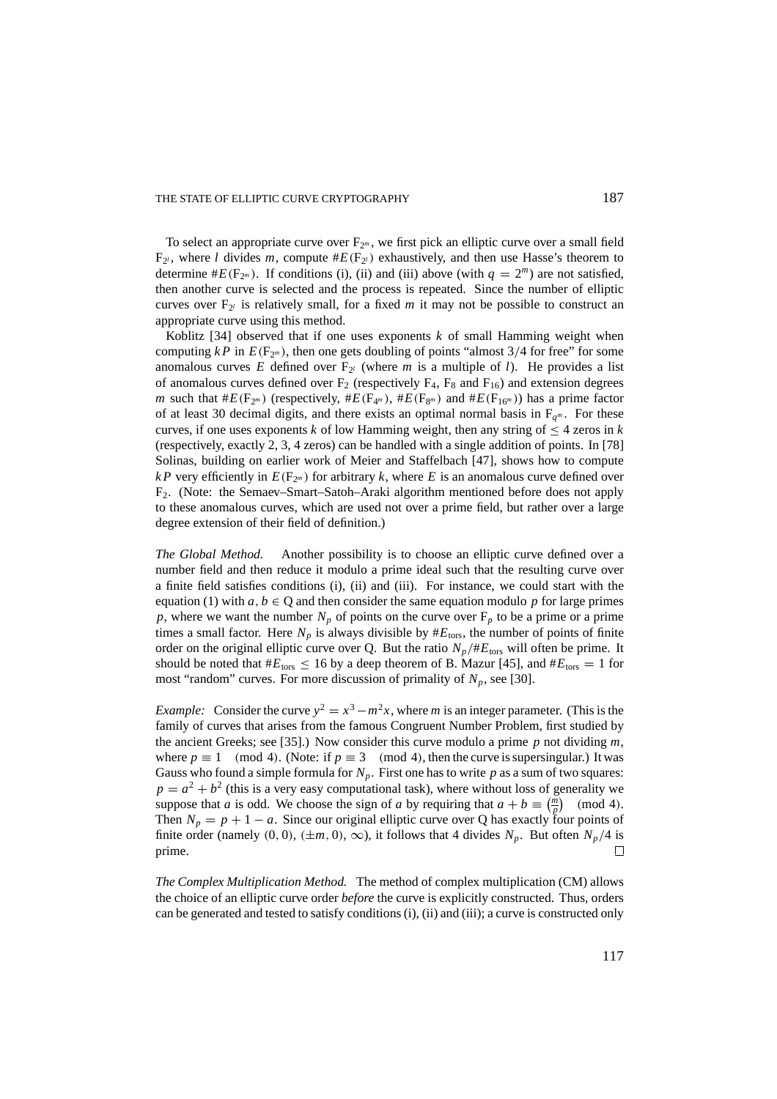To select an appropriate curve over  $F_{2^m}$ , we first pick an elliptic curve over a small field  $F_{2l}$ , where *l* divides *m*, compute  $#E(F_{2l})$  exhaustively, and then use Hasse's theorem to determine  $#E(F_{2^m})$ . If conditions (i), (ii) and (iii) above (with  $q = 2^m$ ) are not satisfied, then another curve is selected and the process is repeated. Since the number of elliptic curves over  $F_{2^l}$  is relatively small, for a fixed *m* it may not be possible to construct an appropriate curve using this method.

Koblitz [34] observed that if one uses exponents *k* of small Hamming weight when computing  $kP$  in  $E(F_{2m})$ , then one gets doubling of points "almost 3/4 for free" for some anomalous curves *E* defined over  $F_{2^l}$  (where *m* is a multiple of *l*). He provides a list of anomalous curves defined over  $F_2$  (respectively  $F_4$ ,  $F_8$  and  $F_{16}$ ) and extension degrees *m* such that  $#E(F_{2^m})$  (respectively,  $#E(F_{4^m})$ ,  $#E(F_{8^m})$  and  $#E(F_{16^m})$ ) has a prime factor of at least 30 decimal digits, and there exists an optimal normal basis in  $F_{q^m}$ . For these curves, if one uses exponents *k* of low Hamming weight, then any string of  $\leq 4$  zeros in *k* (respectively, exactly 2, 3, 4 zeros) can be handled with a single addition of points. In [78] Solinas, building on earlier work of Meier and Staffelbach [47], shows how to compute *kP* very efficiently in  $E(F_{2m})$  for arbitrary *k*, where *E* is an anomalous curve defined over F2. (Note: the Semaev–Smart–Satoh–Araki algorithm mentioned before does not apply to these anomalous curves, which are used not over a prime field, but rather over a large degree extension of their field of definition.)

*The Global Method.* Another possibility is to choose an elliptic curve defined over a number field and then reduce it modulo a prime ideal such that the resulting curve over a finite field satisfies conditions (i), (ii) and (iii). For instance, we could start with the equation (1) with  $a, b \in \mathbb{Q}$  and then consider the same equation modulo  $p$  for large primes *p*, where we want the number  $N_p$  of points on the curve over  $F_p$  to be a prime or a prime times a small factor. Here  $N_p$  is always divisible by  $#E_{tors}$ , the number of points of finite order on the original elliptic curve over Q. But the ratio  $N_p/\#E_{\text{tors}}$  will often be prime. It should be noted that  $#E_{tors} \le 16$  by a deep theorem of B. Mazur [45], and  $#E_{tors} = 1$  for most "random" curves. For more discussion of primality of  $N_p$ , see [30].

*Example:* Consider the curve  $y^2 = x^3 - m^2x$ , where *m* is an integer parameter. (This is the family of curves that arises from the famous Congruent Number Problem, first studied by the ancient Greeks; see [35].) Now consider this curve modulo a prime *p* not dividing *m*, where  $p \equiv 1 \pmod{4}$ . (Note: if  $p \equiv 3 \pmod{4}$ , then the curve is supersingular.) It was Gauss who found a simple formula for  $N_p$ . First one has to write p as a sum of two squares:  $p = a^2 + b^2$  (this is a very easy computational task), where without loss of generality we suppose that *a* is odd. We choose the sign of *a* by requiring that  $a + b \equiv \left(\frac{m}{p}\right) \pmod{4}$ . Then  $N_p = p + 1 - a$ . Since our original elliptic curve over Q has exactly four points of finite order (namely  $(0, 0)$ ,  $(\pm m, 0)$ ,  $\infty$ ), it follows that 4 divides  $N_p$ . But often  $N_p/4$  is prime.  $\Box$ 

*The Complex Multiplication Method.* The method of complex multiplication (CM) allows the choice of an elliptic curve order *before* the curve is explicitly constructed. Thus, orders can be generated and tested to satisfy conditions (i), (ii) and (iii); a curve is constructed only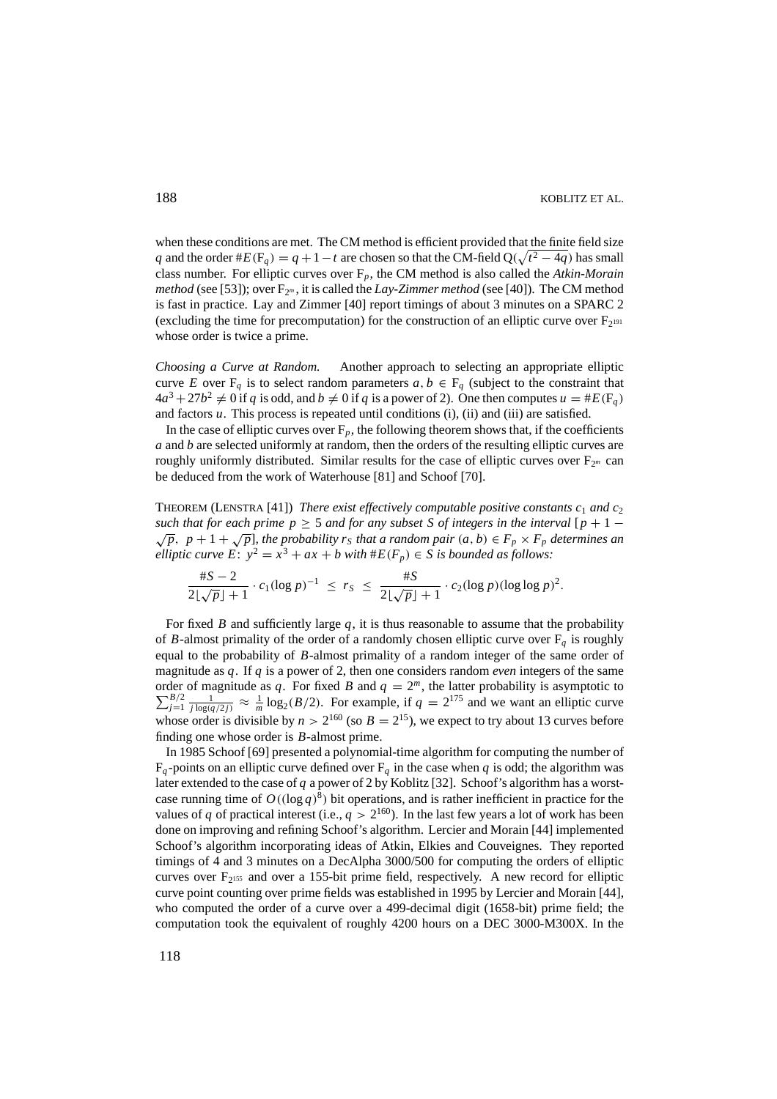when these conditions are met. The CM method is efficient provided that the finite field size *q* and the order  $#E(F_q) = q + 1 - t$  are chosen so that the CM-field Q( $\sqrt{t^2 - 4q}$ ) has small class number. For elliptic curves over F*p*, the CM method is also called the *Atkin-Morain method* (see [53]); over  $F_{2^m}$ , it is called the *Lay-Zimmer method* (see [40]). The CM method is fast in practice. Lay and Zimmer [40] report timings of about 3 minutes on a SPARC 2 (excluding the time for precomputation) for the construction of an elliptic curve over  $F_{2^{191}}$ whose order is twice a prime.

*Choosing a Curve at Random.* Another approach to selecting an appropriate elliptic curve *E* over  $F_q$  is to select random parameters  $a, b \in F_q$  (subject to the constraint that  $4a^3 + 27b^2 \neq 0$  if *q* is odd, and  $b \neq 0$  if *q* is a power of 2). One then computes  $u = \#E(\mathbb{F}_q)$ and factors *u*. This process is repeated until conditions (i), (ii) and (iii) are satisfied.

In the case of elliptic curves over  $F_p$ , the following theorem shows that, if the coefficients *a* and *b* are selected uniformly at random, then the orders of the resulting elliptic curves are roughly uniformly distributed. Similar results for the case of elliptic curves over  $F_{2m}$  can be deduced from the work of Waterhouse [81] and Schoof [70].

THEOREM (LENSTRA [41]) *There exist effectively computable positive constants*  $c_1$  *and*  $c_2$ such that for each prime  $p \ge 5$  and for any subset S of integers in the interval  $[p + 1 - \sqrt{p}, p + 1 + \sqrt{p}]$ , the probability  $r_s$  that a random pair  $(a, b) \in F_p \times F_p$  determines an *elliptic curve E*:  $y^2 = x^3 + ax + b$  *with*  $#E(F_p) \in S$  *is bounded as follows:* 

$$
\frac{\#S - 2}{2\lfloor \sqrt{p} \rfloor + 1} \cdot c_1 (\log p)^{-1} \leq r_S \leq \frac{\#S}{2\lfloor \sqrt{p} \rfloor + 1} \cdot c_2 (\log p) (\log \log p)^2.
$$

For fixed *B* and sufficiently large  $q$ , it is thus reasonable to assume that the probability of *B*-almost primality of the order of a randomly chosen elliptic curve over  $F<sub>q</sub>$  is roughly equal to the probability of *B*-almost primality of a random integer of the same order of magnitude as *q*. If *q* is a power of 2, then one considers random *even* integers of the same order of magnitude as  $q$ . For fixed *B* and  $q = 2^m$  $\sum$ der of magnitude as q. For fixed B and  $q = 2^m$ , the latter probability is asymptotic to  $\frac{B/2}{p} \frac{1}{j \log(q/2j)} \approx \frac{1}{m} \log_2(B/2)$ . For example, if  $q = 2^{175}$  and we want an elliptic curve whose order is divisible by  $n > 2^{160}$  (so  $B = 2^{15}$ ), we expect to try about 13 curves before finding one whose order is *B*-almost prime.

In 1985 Schoof [69] presented a polynomial-time algorithm for computing the number of  $F_q$ -points on an elliptic curve defined over  $F_q$  in the case when *q* is odd; the algorithm was later extended to the case of *q* a power of 2 by Koblitz [32]. Schoof's algorithm has a worstcase running time of  $O((\log q)^8)$  bit operations, and is rather inefficient in practice for the values of *q* of practical interest (i.e.,  $q > 2^{160}$ ). In the last few years a lot of work has been done on improving and refining Schoof's algorithm. Lercier and Morain [44] implemented Schoof's algorithm incorporating ideas of Atkin, Elkies and Couveignes. They reported timings of 4 and 3 minutes on a DecAlpha 3000/500 for computing the orders of elliptic curves over  $F<sub>2^{155}</sub>$  and over a 155-bit prime field, respectively. A new record for elliptic curve point counting over prime fields was established in 1995 by Lercier and Morain [44], who computed the order of a curve over a 499-decimal digit (1658-bit) prime field; the computation took the equivalent of roughly 4200 hours on a DEC 3000-M300X. In the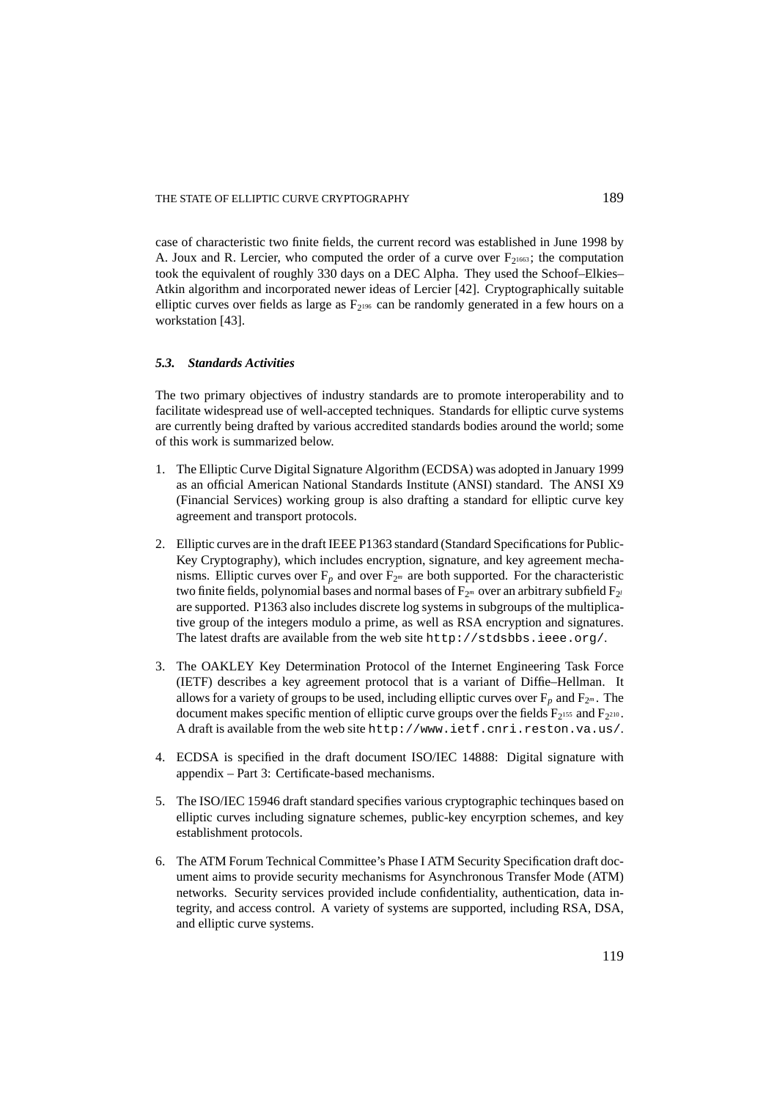case of characteristic two finite fields, the current record was established in June 1998 by A. Joux and R. Lercier, who computed the order of a curve over  $F_{2^{1663}}$ ; the computation took the equivalent of roughly 330 days on a DEC Alpha. They used the Schoof–Elkies– Atkin algorithm and incorporated newer ideas of Lercier [42]. Cryptographically suitable elliptic curves over fields as large as  $F<sub>2196</sub>$  can be randomly generated in a few hours on a workstation [43].

# *5.3. Standards Activities*

The two primary objectives of industry standards are to promote interoperability and to facilitate widespread use of well-accepted techniques. Standards for elliptic curve systems are currently being drafted by various accredited standards bodies around the world; some of this work is summarized below.

- 1. The Elliptic Curve Digital Signature Algorithm (ECDSA) was adopted in January 1999 as an official American National Standards Institute (ANSI) standard. The ANSI X9 (Financial Services) working group is also drafting a standard for elliptic curve key agreement and transport protocols.
- 2. Elliptic curves are in the draft IEEE P1363 standard (Standard Specifications for Public-Key Cryptography), which includes encryption, signature, and key agreement mechanisms. Elliptic curves over  $F_p$  and over  $F_{2^m}$  are both supported. For the characteristic two finite fields, polynomial bases and normal bases of  $F_{2^m}$  over an arbitrary subfield  $F_{2^l}$ are supported. P1363 also includes discrete log systems in subgroups of the multiplicative group of the integers modulo a prime, as well as RSA encryption and signatures. The latest drafts are available from the web site http://stdsbbs.ieee.org/.
- 3. The OAKLEY Key Determination Protocol of the Internet Engineering Task Force (IETF) describes a key agreement protocol that is a variant of Diffie–Hellman. It allows for a variety of groups to be used, including elliptic curves over  $F_p$  and  $F_{2^m}$ . The document makes specific mention of elliptic curve groups over the fields  $F_{2^{155}}$  and  $F_{2^{210}}$ . A draft is available from the web site http://www.ietf.cnri.reston.va.us/.
- 4. ECDSA is specified in the draft document ISO/IEC 14888: Digital signature with appendix – Part 3: Certificate-based mechanisms.
- 5. The ISO/IEC 15946 draft standard specifies various cryptographic techinques based on elliptic curves including signature schemes, public-key encyrption schemes, and key establishment protocols.
- 6. The ATM Forum Technical Committee's Phase I ATM Security Specification draft document aims to provide security mechanisms for Asynchronous Transfer Mode (ATM) networks. Security services provided include confidentiality, authentication, data integrity, and access control. A variety of systems are supported, including RSA, DSA, and elliptic curve systems.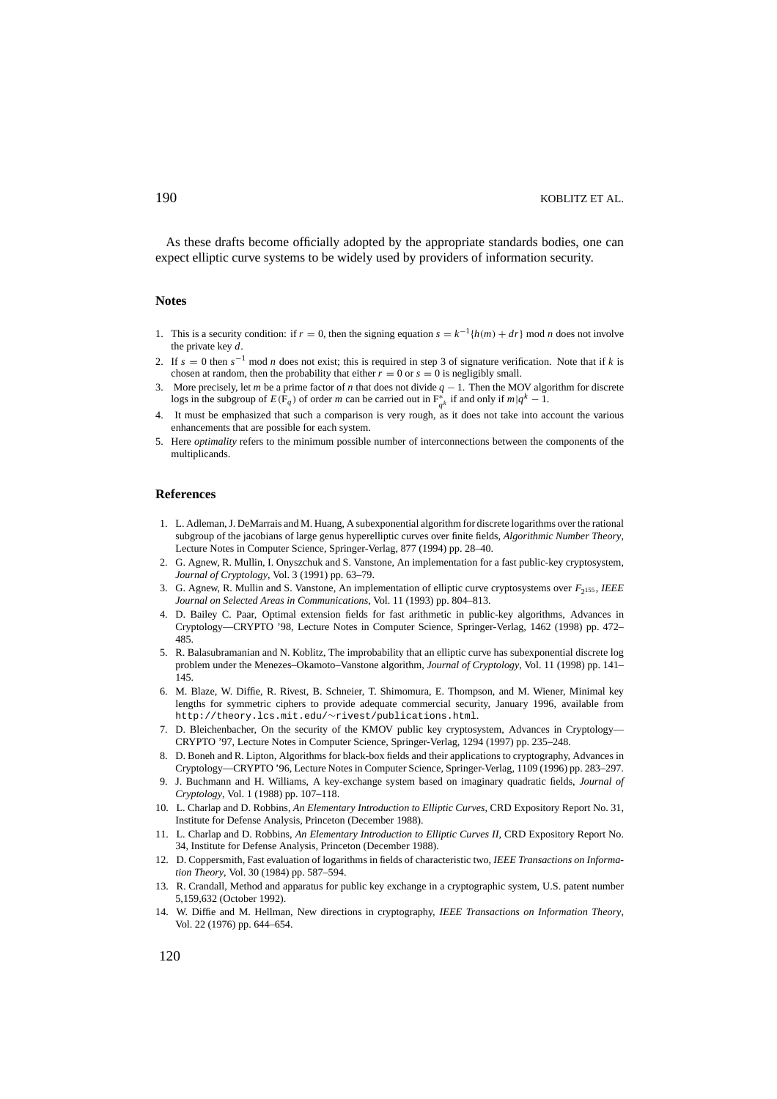As these drafts become officially adopted by the appropriate standards bodies, one can expect elliptic curve systems to be widely used by providers of information security.

# **Notes**

- 1. This is a security condition: if  $r = 0$ , then the signing equation  $s = k^{-1}$  { $h(m) + dr$ } mod *n* does not involve the private key *d*.
- 2. If  $s = 0$  then  $s^{-1}$  mod *n* does not exist; this is required in step 3 of signature verification. Note that if *k* is chosen at random, then the probability that either  $r = 0$  or  $s = 0$  is negligibly small.
- 3. More precisely, let *m* be a prime factor of *n* that does not divide *q* − 1. Then the MOV algorithm for discrete logs in the subgroup of  $E(\mathbf{F}_q)$  of order *m* can be carried out in  $\mathbf{F}_{q^k}^*$  if and only if  $m|q^k - 1$ .
- 4. It must be emphasized that such a comparison is very rough, as it does not take into account the various enhancements that are possible for each system.
- 5. Here *optimality* refers to the minimum possible number of interconnections between the components of the multiplicands.

#### **References**

- 1. L. Adleman, J. DeMarrais and M. Huang, A subexponential algorithm for discrete logarithms over the rational subgroup of the jacobians of large genus hyperelliptic curves over finite fields, *Algorithmic Number Theory*, Lecture Notes in Computer Science, Springer-Verlag, 877 (1994) pp. 28–40.
- 2. G. Agnew, R. Mullin, I. Onyszchuk and S. Vanstone, An implementation for a fast public-key cryptosystem, *Journal of Cryptology*, Vol. 3 (1991) pp. 63–79.
- 3. G. Agnew, R. Mullin and S. Vanstone, An implementation of elliptic curve cryptosystems over *F*2155 , *IEEE Journal on Selected Areas in Communications*, Vol. 11 (1993) pp. 804–813.
- 4. D. Bailey C. Paar, Optimal extension fields for fast arithmetic in public-key algorithms, Advances in Cryptology—CRYPTO '98, Lecture Notes in Computer Science, Springer-Verlag, 1462 (1998) pp. 472– 485.
- 5. R. Balasubramanian and N. Koblitz, The improbability that an elliptic curve has subexponential discrete log problem under the Menezes–Okamoto–Vanstone algorithm, *Journal of Cryptology*, Vol. 11 (1998) pp. 141– 145.
- 6. M. Blaze, W. Diffie, R. Rivest, B. Schneier, T. Shimomura, E. Thompson, and M. Wiener, Minimal key lengths for symmetric ciphers to provide adequate commercial security, January 1996, available from http://theory.lcs.mit.edu/∼rivest/publications.html.
- 7. D. Bleichenbacher, On the security of the KMOV public key cryptosystem, Advances in Cryptology— CRYPTO '97, Lecture Notes in Computer Science, Springer-Verlag, 1294 (1997) pp. 235–248.
- 8. D. Boneh and R. Lipton, Algorithms for black-box fields and their applications to cryptography, Advances in Cryptology—CRYPTO '96, Lecture Notes in Computer Science, Springer-Verlag, 1109 (1996) pp. 283–297.
- 9. J. Buchmann and H. Williams, A key-exchange system based on imaginary quadratic fields, *Journal of Cryptology*, Vol. 1 (1988) pp. 107–118.
- 10. L. Charlap and D. Robbins, *An Elementary Introduction to Elliptic Curves*, CRD Expository Report No. 31, Institute for Defense Analysis, Princeton (December 1988).
- 11. L. Charlap and D. Robbins, *An Elementary Introduction to Elliptic Curves II*, CRD Expository Report No. 34, Institute for Defense Analysis, Princeton (December 1988).
- 12. D. Coppersmith, Fast evaluation of logarithms in fields of characteristic two, *IEEE Transactions on Information Theory*, Vol. 30 (1984) pp. 587–594.
- 13. R. Crandall, Method and apparatus for public key exchange in a cryptographic system, U.S. patent number 5,159,632 (October 1992).
- 14. W. Diffie and M. Hellman, New directions in cryptography, *IEEE Transactions on Information Theory*, Vol. 22 (1976) pp. 644–654.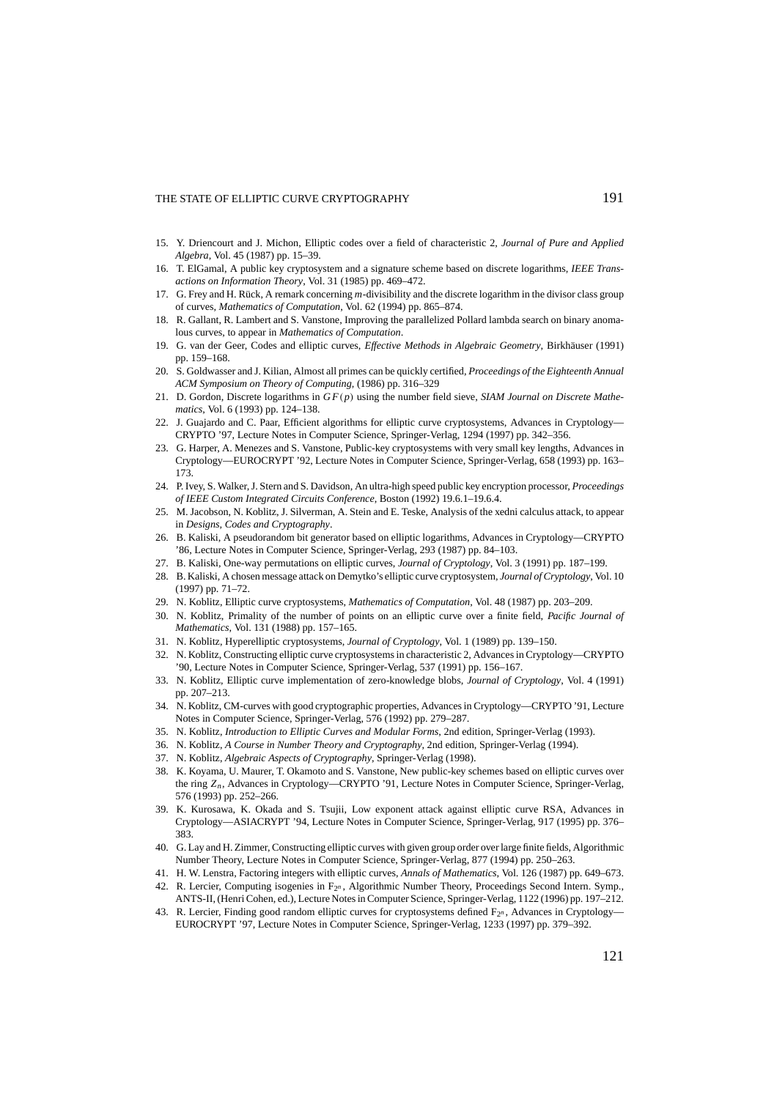- 15. Y. Driencourt and J. Michon, Elliptic codes over a field of characteristic 2, *Journal of Pure and Applied Algebra*, Vol. 45 (1987) pp. 15–39.
- 16. T. ElGamal, A public key cryptosystem and a signature scheme based on discrete logarithms, *IEEE Transactions on Information Theory*, Vol. 31 (1985) pp. 469–472.
- 17. G. Frey and H. Rück, A remark concerning *m*-divisibility and the discrete logarithm in the divisor class group of curves, *Mathematics of Computation*, Vol. 62 (1994) pp. 865–874.
- 18. R. Gallant, R. Lambert and S. Vanstone, Improving the parallelized Pollard lambda search on binary anomalous curves, to appear in *Mathematics of Computation*.
- 19. G. van der Geer, Codes and elliptic curves, *Effective Methods in Algebraic Geometry*, Birkhäuser (1991) pp. 159–168.
- 20. S. Goldwasser and J. Kilian, Almost all primes can be quickly certified, *Proceedings of the Eighteenth Annual ACM Symposium on Theory of Computing*, (1986) pp. 316–329
- 21. D. Gordon, Discrete logarithms in *G F*(*p*) using the number field sieve, *SIAM Journal on Discrete Mathematics*, Vol. 6 (1993) pp. 124–138.
- 22. J. Guajardo and C. Paar, Efficient algorithms for elliptic curve cryptosystems, Advances in Cryptology— CRYPTO '97, Lecture Notes in Computer Science, Springer-Verlag, 1294 (1997) pp. 342–356.
- 23. G. Harper, A. Menezes and S. Vanstone, Public-key cryptosystems with very small key lengths, Advances in Cryptology—EUROCRYPT '92, Lecture Notes in Computer Science, Springer-Verlag, 658 (1993) pp. 163– 173.
- 24. P. Ivey, S. Walker, J. Stern and S. Davidson, An ultra-high speed public key encryption processor, *Proceedings of IEEE Custom Integrated Circuits Conference*, Boston (1992) 19.6.1–19.6.4.
- 25. M. Jacobson, N. Koblitz, J. Silverman, A. Stein and E. Teske, Analysis of the xedni calculus attack, to appear in *Designs, Codes and Cryptography*.
- 26. B. Kaliski, A pseudorandom bit generator based on elliptic logarithms, Advances in Cryptology—CRYPTO '86, Lecture Notes in Computer Science, Springer-Verlag, 293 (1987) pp. 84–103.
- 27. B. Kaliski, One-way permutations on elliptic curves, *Journal of Cryptology*, Vol. 3 (1991) pp. 187–199.
- 28. B. Kaliski, A chosen message attack on Demytko's elliptic curve cryptosystem, *Journal of Cryptology*, Vol. 10 (1997) pp. 71–72.
- 29. N. Koblitz, Elliptic curve cryptosystems, *Mathematics of Computation*, Vol. 48 (1987) pp. 203–209.
- 30. N. Koblitz, Primality of the number of points on an elliptic curve over a finite field, *Pacific Journal of Mathematics*, Vol. 131 (1988) pp. 157–165.
- 31. N. Koblitz, Hyperelliptic cryptosystems, *Journal of Cryptology*, Vol. 1 (1989) pp. 139–150.
- 32. N. Koblitz, Constructing elliptic curve cryptosystems in characteristic 2, Advances in Cryptology—CRYPTO '90, Lecture Notes in Computer Science, Springer-Verlag, 537 (1991) pp. 156–167.
- 33. N. Koblitz, Elliptic curve implementation of zero-knowledge blobs, *Journal of Cryptology*, Vol. 4 (1991) pp. 207–213.
- 34. N. Koblitz, CM-curves with good cryptographic properties, Advances in Cryptology—CRYPTO '91, Lecture Notes in Computer Science, Springer-Verlag, 576 (1992) pp. 279–287.
- 35. N. Koblitz, *Introduction to Elliptic Curves and Modular Forms*, 2nd edition, Springer-Verlag (1993).
- 36. N. Koblitz, *A Course in Number Theory and Cryptography*, 2nd edition, Springer-Verlag (1994).
- 37. N. Koblitz, *Algebraic Aspects of Cryptography*, Springer-Verlag (1998).
- 38. K. Koyama, U. Maurer, T. Okamoto and S. Vanstone, New public-key schemes based on elliptic curves over the ring *Zn* , Advances in Cryptology—CRYPTO '91, Lecture Notes in Computer Science, Springer-Verlag, 576 (1993) pp. 252–266.
- 39. K. Kurosawa, K. Okada and S. Tsujii, Low exponent attack against elliptic curve RSA, Advances in Cryptology—ASIACRYPT '94, Lecture Notes in Computer Science, Springer-Verlag, 917 (1995) pp. 376– 383.
- 40. G. Lay and H. Zimmer, Constructing elliptic curves with given group order over large finite fields, Algorithmic Number Theory, Lecture Notes in Computer Science, Springer-Verlag, 877 (1994) pp. 250–263.
- 41. H. W. Lenstra, Factoring integers with elliptic curves, *Annals of Mathematics*, Vol. 126 (1987) pp. 649–673.
- 42. R. Lercier, Computing isogenies in F2*<sup>n</sup>* , Algorithmic Number Theory, Proceedings Second Intern. Symp., ANTS-II, (Henri Cohen, ed.), Lecture Notes in Computer Science, Springer-Verlag, 1122 (1996) pp. 197–212.
- 43. R. Lercier, Finding good random elliptic curves for cryptosystems defined F2*<sup>n</sup>* , Advances in Cryptology— EUROCRYPT '97, Lecture Notes in Computer Science, Springer-Verlag, 1233 (1997) pp. 379–392.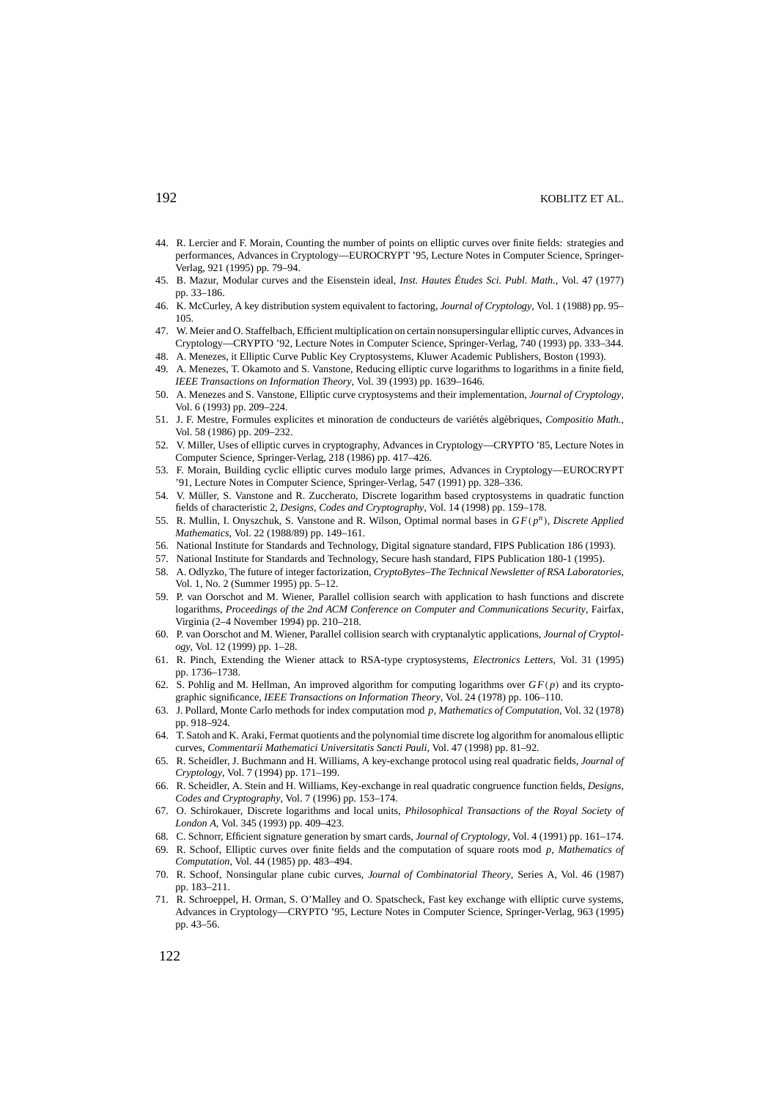# 192 KOBLITZ ET AL.

- 44. R. Lercier and F. Morain, Counting the number of points on elliptic curves over finite fields: strategies and performances, Advances in Cryptology—EUROCRYPT '95, Lecture Notes in Computer Science, Springer-Verlag, 921 (1995) pp. 79–94.
- 45. B. Mazur, Modular curves and the Eisenstein ideal, *Inst. Hautes Études Sci. Publ. Math.*, Vol. 47 (1977) pp. 33–186.
- 46. K. McCurley, A key distribution system equivalent to factoring, *Journal of Cryptology*, Vol. 1 (1988) pp. 95– 105.
- 47. W. Meier and O. Staffelbach, Efficient multiplication on certain nonsupersingular elliptic curves, Advances in Cryptology—CRYPTO '92, Lecture Notes in Computer Science, Springer-Verlag, 740 (1993) pp. 333–344.
- 48. A. Menezes, it Elliptic Curve Public Key Cryptosystems, Kluwer Academic Publishers, Boston (1993).
- 49. A. Menezes, T. Okamoto and S. Vanstone, Reducing elliptic curve logarithms to logarithms in a finite field, *IEEE Transactions on Information Theory*, Vol. 39 (1993) pp. 1639–1646.
- 50. A. Menezes and S. Vanstone, Elliptic curve cryptosystems and their implementation, *Journal of Cryptology*, Vol. 6 (1993) pp. 209–224.
- 51. J. F. Mestre, Formules explicites et minoration de conducteurs de variétés algébriques, *Compositio Math.*, Vol. 58 (1986) pp. 209–232.
- 52. V. Miller, Uses of elliptic curves in cryptography, Advances in Cryptology—CRYPTO '85, Lecture Notes in Computer Science, Springer-Verlag, 218 (1986) pp. 417–426.
- 53. F. Morain, Building cyclic elliptic curves modulo large primes, Advances in Cryptology—EUROCRYPT '91, Lecture Notes in Computer Science, Springer-Verlag, 547 (1991) pp. 328–336.
- 54. V. M¨uller, S. Vanstone and R. Zuccherato, Discrete logarithm based cryptosystems in quadratic function fields of characteristic 2, *Designs, Codes and Cryptography*, Vol. 14 (1998) pp. 159–178.
- 55. R. Mullin, I. Onyszchuk, S. Vanstone and R. Wilson, Optimal normal bases in *G F*(*p<sup>n</sup>* ), *Discrete Applied Mathematics*, Vol. 22 (1988/89) pp. 149–161.
- 56. National Institute for Standards and Technology, Digital signature standard, FIPS Publication 186 (1993).
- 57. National Institute for Standards and Technology, Secure hash standard, FIPS Publication 180-1 (1995).
- 58. A. Odlyzko, The future of integer factorization, *CryptoBytes–The Technical Newsletter of RSA Laboratories*, Vol. 1, No. 2 (Summer 1995) pp. 5–12.
- 59. P. van Oorschot and M. Wiener, Parallel collision search with application to hash functions and discrete logarithms, *Proceedings of the 2nd ACM Conference on Computer and Communications Security*, Fairfax, Virginia (2–4 November 1994) pp. 210–218.
- 60. P. van Oorschot and M. Wiener, Parallel collision search with cryptanalytic applications, *Journal of Cryptology*, Vol. 12 (1999) pp. 1–28.
- 61. R. Pinch, Extending the Wiener attack to RSA-type cryptosystems, *Electronics Letters*, Vol. 31 (1995) pp. 1736–1738.
- 62. S. Pohlig and M. Hellman, An improved algorithm for computing logarithms over  $GF(p)$  and its cryptographic significance, *IEEE Transactions on Information Theory*, Vol. 24 (1978) pp. 106–110.
- 63. J. Pollard, Monte Carlo methods for index computation mod *p*, *Mathematics of Computation*, Vol. 32 (1978) pp. 918–924.
- 64. T. Satoh and K. Araki, Fermat quotients and the polynomial time discrete log algorithm for anomalous elliptic curves, *Commentarii Mathematici Universitatis Sancti Pauli*, Vol. 47 (1998) pp. 81–92.
- 65. R. Scheidler, J. Buchmann and H. Williams, A key-exchange protocol using real quadratic fields, *Journal of Cryptology*, Vol. 7 (1994) pp. 171–199.
- 66. R. Scheidler, A. Stein and H. Williams, Key-exchange in real quadratic congruence function fields, *Designs, Codes and Cryptography*, Vol. 7 (1996) pp. 153–174.
- 67. O. Schirokauer, Discrete logarithms and local units, *Philosophical Transactions of the Royal Society of London A*, Vol. 345 (1993) pp. 409–423.
- 68. C. Schnorr, Efficient signature generation by smart cards, *Journal of Cryptology*, Vol. 4 (1991) pp. 161–174.
- 69. R. Schoof, Elliptic curves over finite fields and the computation of square roots mod *p*, *Mathematics of Computation*, Vol. 44 (1985) pp. 483–494.
- 70. R. Schoof, Nonsingular plane cubic curves, *Journal of Combinatorial Theory*, Series A, Vol. 46 (1987) pp. 183–211.
- 71. R. Schroeppel, H. Orman, S. O'Malley and O. Spatscheck, Fast key exchange with elliptic curve systems, Advances in Cryptology—CRYPTO '95, Lecture Notes in Computer Science, Springer-Verlag, 963 (1995) pp. 43–56.